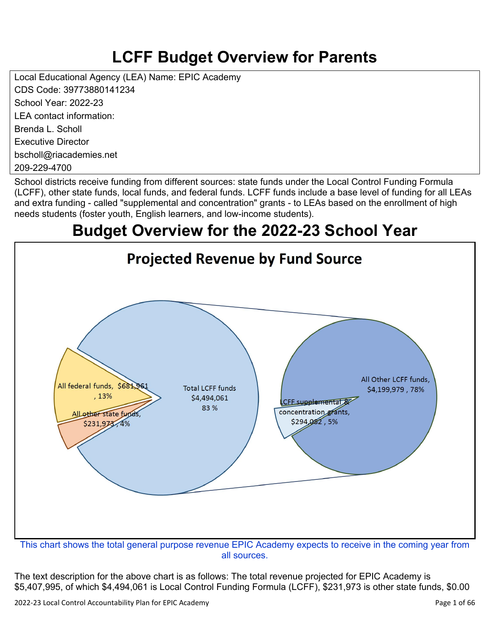# **LCFF Budget Overview for Parents**

Local Educational Agency (LEA) Name: EPIC Academy CDS Code: 39773880141234 School Year: 2022-23 LEA contact information: Brenda L. Scholl Executive Director bscholl@riacademies.net

209-229-4700

School districts receive funding from different sources: state funds under the Local Control Funding Formula (LCFF), other state funds, local funds, and federal funds. LCFF funds include a base level of funding for all LEAs and extra funding - called "supplemental and concentration" grants - to LEAs based on the enrollment of high needs students (foster youth, English learners, and low-income students).

# **Budget Overview for the 2022-23 School Year**



all sources.

The text description for the above chart is as follows: The total revenue projected for EPIC Academy is \$5,407,995, of which \$4,494,061 is Local Control Funding Formula (LCFF), \$231,973 is other state funds, \$0.00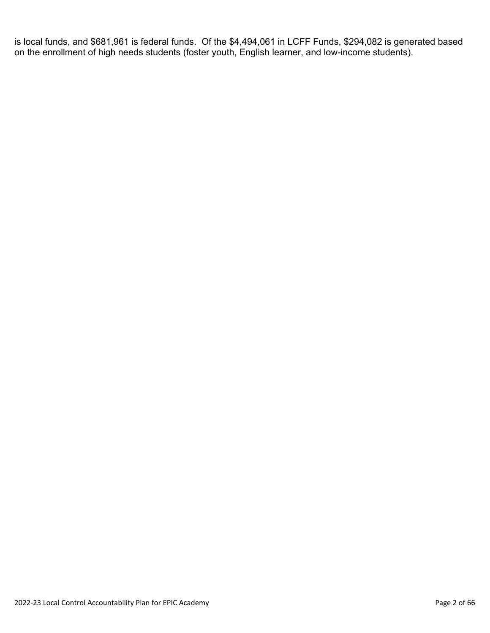is local funds, and \$681,961 is federal funds. Of the \$4,494,061 in LCFF Funds, \$294,082 is generated based on the enrollment of high needs students (foster youth, English learner, and low-income students).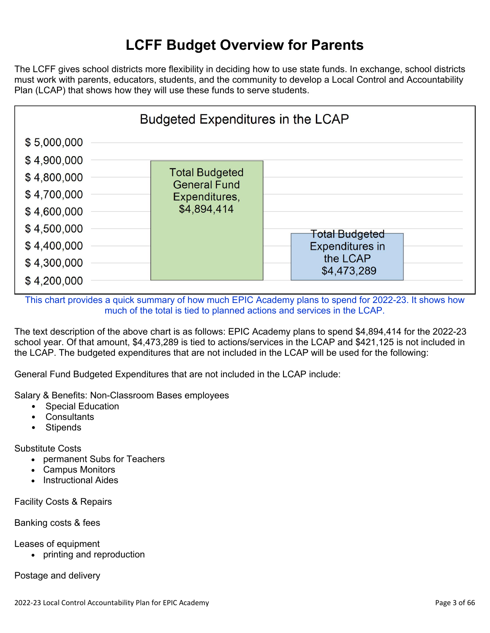# **LCFF Budget Overview for Parents**

The LCFF gives school districts more flexibility in deciding how to use state funds. In exchange, school districts must work with parents, educators, students, and the community to develop a Local Control and Accountability Plan (LCAP) that shows how they will use these funds to serve students.



This chart provides a quick summary of how much EPIC Academy plans to spend for 2022-23. It shows how much of the total is tied to planned actions and services in the LCAP.

The text description of the above chart is as follows: EPIC Academy plans to spend \$4,894,414 for the 2022-23 school year. Of that amount, \$4,473,289 is tied to actions/services in the LCAP and \$421,125 is not included in the LCAP. The budgeted expenditures that are not included in the LCAP will be used for the following:

General Fund Budgeted Expenditures that are not included in the LCAP include:

Salary & Benefits: Non-Classroom Bases employees

- Special Education
- Consultants
- **Stipends**

Substitute Costs

- permanent Subs for Teachers
- Campus Monitors
- Instructional Aides

Facility Costs & Repairs

Banking costs & fees

Leases of equipment

• printing and reproduction

Postage and delivery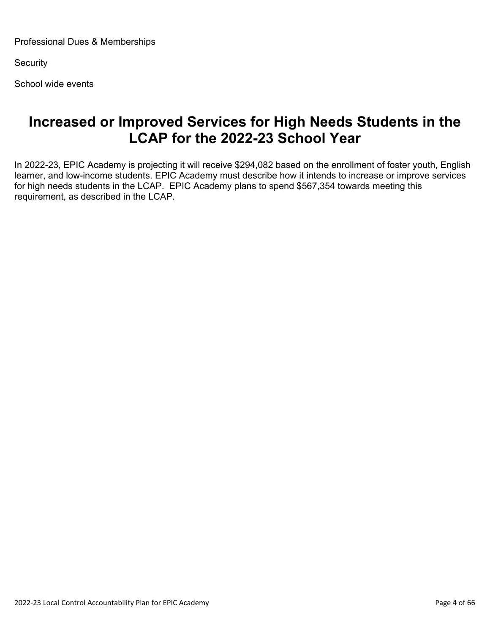Professional Dues & Memberships

**Security** 

School wide events

## **Increased or Improved Services for High Needs Students in the LCAP for the 2022-23 School Year**

In 2022-23, EPIC Academy is projecting it will receive \$294,082 based on the enrollment of foster youth, English learner, and low-income students. EPIC Academy must describe how it intends to increase or improve services for high needs students in the LCAP. EPIC Academy plans to spend \$567,354 towards meeting this requirement, as described in the LCAP.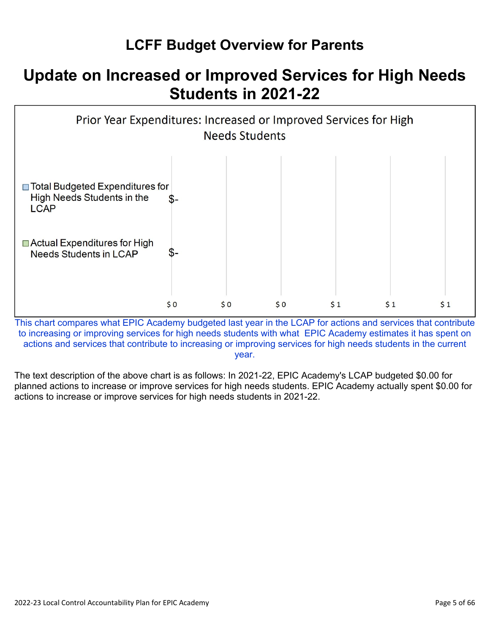# **LCFF Budget Overview for Parents**

# **Update on Increased or Improved Services for High Needs Students in 2021-22**



This chart compares what EPIC Academy budgeted last year in the LCAP for actions and services that contribute to increasing or improving services for high needs students with what EPIC Academy estimates it has spent on actions and services that contribute to increasing or improving services for high needs students in the current year.

The text description of the above chart is as follows: In 2021-22, EPIC Academy's LCAP budgeted \$0.00 for planned actions to increase or improve services for high needs students. EPIC Academy actually spent \$0.00 for actions to increase or improve services for high needs students in 2021-22.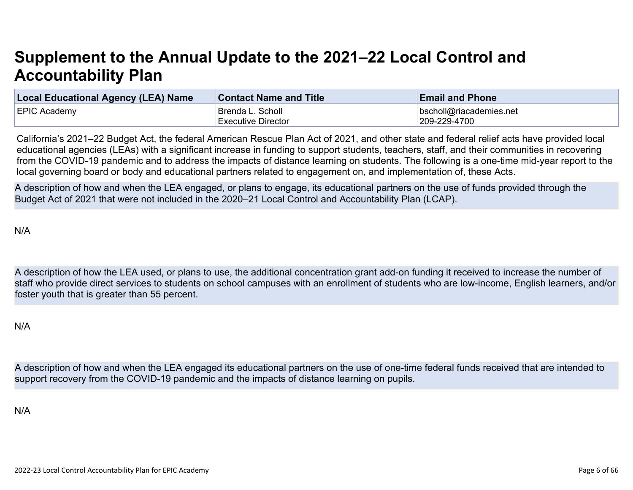# **Supplement to the Annual Update to the 2021–22 Local Control and Accountability Plan**

| <b>Local Educational Agency (LEA) Name</b> | <b>Contact Name and Title</b> | <b>Email and Phone</b>  |
|--------------------------------------------|-------------------------------|-------------------------|
| <b>EPIC Academy</b>                        | ∣Brenda L. Scholl             | bscholl@riacademies.net |
|                                            | <b>Executive Director</b>     | 209-229-4700            |

California's 2021–22 Budget Act, the federal American Rescue Plan Act of 2021, and other state and federal relief acts have provided local educational agencies (LEAs) with a significant increase in funding to support students, teachers, staff, and their communities in recovering from the COVID-19 pandemic and to address the impacts of distance learning on students. The following is a one-time mid-year report to the local governing board or body and educational partners related to engagement on, and implementation of, these Acts.

A description of how and when the LEA engaged, or plans to engage, its educational partners on the use of funds provided through the Budget Act of 2021 that were not included in the 2020–21 Local Control and Accountability Plan (LCAP).

N/A

A description of how the LEA used, or plans to use, the additional concentration grant add-on funding it received to increase the number of staff who provide direct services to students on school campuses with an enrollment of students who are low-income, English learners, and/or foster youth that is greater than 55 percent.

N/A

A description of how and when the LEA engaged its educational partners on the use of one-time federal funds received that are intended to support recovery from the COVID-19 pandemic and the impacts of distance learning on pupils.

N/A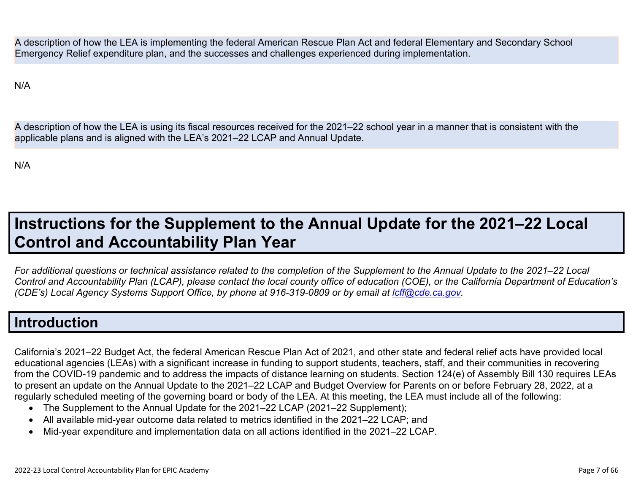A description of how the LEA is implementing the federal American Rescue Plan Act and federal Elementary and Secondary School Emergency Relief expenditure plan, and the successes and challenges experienced during implementation.

N/A

A description of how the LEA is using its fiscal resources received for the 2021–22 school year in a manner that is consistent with the applicable plans and is aligned with the LEA's 2021–22 LCAP and Annual Update.

N/A

# **Instructions for the Supplement to the Annual Update for the 2021–22 Local Control and Accountability Plan Year**

*For additional questions or technical assistance related to the completion of the Supplement to the Annual Update to the 2021–22 Local Control and Accountability Plan (LCAP), please contact the local county office of education (COE), or the California Department of Education's (CDE's)* Local Agency Systems Support Office, by phone at 916-319-0809 or by email at *[lcff@cde.ca.gov](mailto:lcff@cde.ca.gov)*.

## **Introduction**

California's 2021–22 Budget Act, the federal American Rescue Plan Act of 2021, and other state and federal relief acts have provided local educational agencies (LEAs) with a significant increase in funding to support students, teachers, staff, and their communities in recovering from the COVID-19 pandemic and to address the impacts of distance learning on students. Section 124(e) of Assembly Bill 130 requires LEAs to present an update on the Annual Update to the 2021–22 LCAP and Budget Overview for Parents on or before February 28, 2022, at a regularly scheduled meeting of the governing board or body of the LEA. At this meeting, the LEA must include all of the following:

- The Supplement to the Annual Update for the 2021–22 LCAP (2021–22 Supplement);
- All available mid-year outcome data related to metrics identified in the 2021–22 LCAP; and
- Mid-year expenditure and implementation data on all actions identified in the 2021–22 LCAP.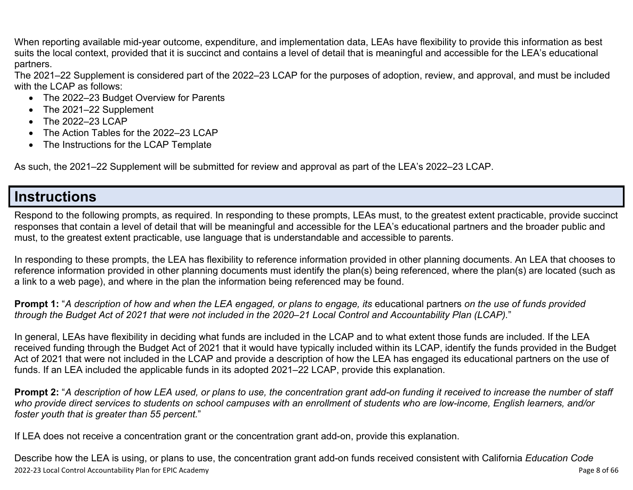When reporting available mid-year outcome, expenditure, and implementation data, LEAs have flexibility to provide this information as best suits the local context, provided that it is succinct and contains a level of detail that is meaningful and accessible for the LEA's educational partners.

The 2021–22 Supplement is considered part of the 2022–23 LCAP for the purposes of adoption, review, and approval, and must be included with the LCAP as follows:

- The 2022–23 Budget Overview for Parents
- The 2021–22 Supplement
- The 2022-23 LCAP
- The Action Tables for the 2022–23 LCAP
- The Instructions for the LCAP Template

As such, the 2021–22 Supplement will be submitted for review and approval as part of the LEA's 2022–23 LCAP.

## **Instructions**

Respond to the following prompts, as required. In responding to these prompts, LEAs must, to the greatest extent practicable, provide succinct responses that contain a level of detail that will be meaningful and accessible for the LEA's educational partners and the broader public and must, to the greatest extent practicable, use language that is understandable and accessible to parents.

In responding to these prompts, the LEA has flexibility to reference information provided in other planning documents. An LEA that chooses to reference information provided in other planning documents must identify the plan(s) being referenced, where the plan(s) are located (such as a link to a web page), and where in the plan the information being referenced may be found.

**Prompt 1:** "*A description of how and when the LEA engaged, or plans to engage, its* educational partners *on the use of funds provided through the Budget Act of 2021 that were not included in the 2020–21 Local Control and Accountability Plan (LCAP).*"

In general, LEAs have flexibility in deciding what funds are included in the LCAP and to what extent those funds are included. If the LEA received funding through the Budget Act of 2021 that it would have typically included within its LCAP, identify the funds provided in the Budget Act of 2021 that were not included in the LCAP and provide a description of how the LEA has engaged its educational partners on the use of funds. If an LEA included the applicable funds in its adopted 2021–22 LCAP, provide this explanation.

**Prompt 2:** "*A description of how LEA used, or plans to use, the concentration grant add-on funding it received to increase the number of staff who provide direct services to students on school campuses with an enrollment of students who are low-income, English learners, and/or foster youth that is greater than 55 percent.*"

If LEA does not receive a concentration grant or the concentration grant add-on, provide this explanation.

2022-23 Local Control Accountability Plan for EPIC Academy **Page 8** of 66 Describe how the LEA is using, or plans to use, the concentration grant add-on funds received consistent with California *Education Code*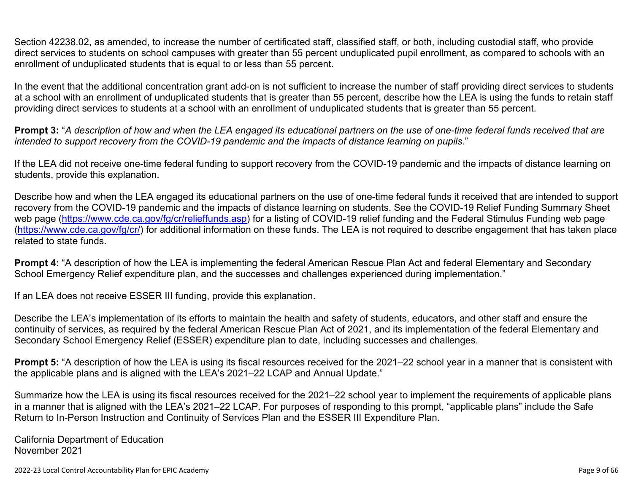Section 42238.02, as amended, to increase the number of certificated staff, classified staff, or both, including custodial staff, who provide direct services to students on school campuses with greater than 55 percent unduplicated pupil enrollment, as compared to schools with an enrollment of unduplicated students that is equal to or less than 55 percent.

In the event that the additional concentration grant add-on is not sufficient to increase the number of staff providing direct services to students at a school with an enrollment of unduplicated students that is greater than 55 percent, describe how the LEA is using the funds to retain staff providing direct services to students at a school with an enrollment of unduplicated students that is greater than 55 percent.

**Prompt 3:** "*A description of how and when the LEA engaged its educational partners on the use of one-time federal funds received that are intended to support recovery from the COVID-19 pandemic and the impacts of distance learning on pupils.*"

If the LEA did not receive one-time federal funding to support recovery from the COVID-19 pandemic and the impacts of distance learning on students, provide this explanation.

Describe how and when the LEA engaged its educational partners on the use of one-time federal funds it received that are intended to support recovery from the COVID-19 pandemic and the impacts of distance learning on students. See the COVID-19 Relief Funding Summary Sheet web page [\(https://www.cde.ca.gov/fg/cr/relieffunds.asp\)](https://www.cde.ca.gov/fg/cr/relieffunds.asp) for a listing of COVID-19 relief funding and the Federal Stimulus Funding web page (<https://www.cde.ca.gov/fg/cr/>) for additional information on these funds. The LEA is not required to describe engagement that has taken place related to state funds.

**Prompt 4:** "A description of how the LEA is implementing the federal American Rescue Plan Act and federal Elementary and Secondary School Emergency Relief expenditure plan, and the successes and challenges experienced during implementation."

If an LEA does not receive ESSER III funding, provide this explanation.

Describe the LEA's implementation of its efforts to maintain the health and safety of students, educators, and other staff and ensure the continuity of services, as required by the federal American Rescue Plan Act of 2021, and its implementation of the federal Elementary and Secondary School Emergency Relief (ESSER) expenditure plan to date, including successes and challenges.

**Prompt 5:** "A description of how the LEA is using its fiscal resources received for the 2021–22 school year in a manner that is consistent with the applicable plans and is aligned with the LEA's 2021–22 LCAP and Annual Update."

Summarize how the LEA is using its fiscal resources received for the 2021–22 school year to implement the requirements of applicable plans in a manner that is aligned with the LEA's 2021–22 LCAP. For purposes of responding to this prompt, "applicable plans" include the Safe Return to In-Person Instruction and Continuity of Services Plan and the ESSER III Expenditure Plan.

California Department of Education November 2021

2022-23 Local Control Accountability Plan for EPIC Academy **Page 9** of 66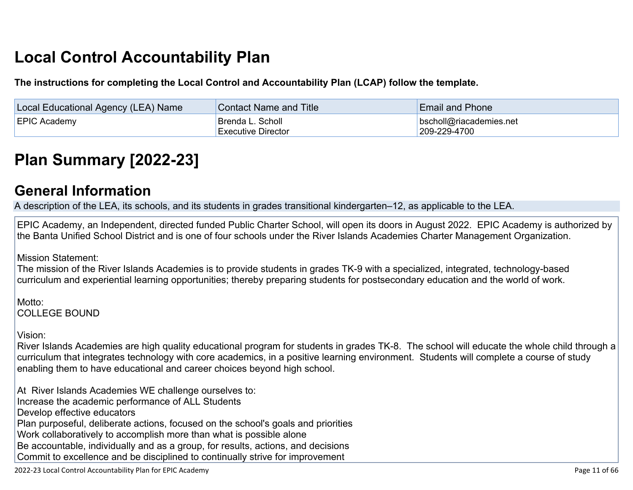# **Local Control Accountability Plan**

**The instructions for completing the Local Control and Accountability Plan (LCAP) follow the template.**

| <b>Local Educational Agency (LEA) Name</b> | <b>Contact Name and Title</b>                 | <b>Email and Phone</b>                          |
|--------------------------------------------|-----------------------------------------------|-------------------------------------------------|
| <b>EPIC Academy</b>                        | <b>Brenda L. Scholl</b><br>Executive Director | $\vert$ bscholl@riacademies.net<br>209-229-4700 |

# **[Plan Summary \[2022-23\]](http://www.doc-tracking.com/screenshots/22LCAP/Instructions/22LCAPInstructions.htm#PlanSummary)**

## **[General Information](http://www.doc-tracking.com/screenshots/22LCAP/Instructions/22LCAPInstructions.htm#generalinformation)**

A description of the LEA, its schools, and its students in grades transitional kindergarten–12, as applicable to the LEA.

EPIC Academy, an Independent, directed funded Public Charter School, will open its doors in August 2022. EPIC Academy is authorized by the Banta Unified School District and is one of four schools under the River Islands Academies Charter Management Organization.

Mission Statement:

The mission of the River Islands Academies is to provide students in grades TK-9 with a specialized, integrated, technology-based curriculum and experiential learning opportunities; thereby preparing students for postsecondary education and the world of work.

Motto: COLLEGE BOUND

Vision:

River Islands Academies are high quality educational program for students in grades TK-8. The school will educate the whole child through a curriculum that integrates technology with core academics, in a positive learning environment. Students will complete a course of study enabling them to have educational and career choices beyond high school.

At River Islands Academies WE challenge ourselves to: Increase the academic performance of ALL Students Develop effective educators Plan purposeful, deliberate actions, focused on the school's goals and priorities Work collaboratively to accomplish more than what is possible alone Be accountable, individually and as a group, for results, actions, and decisions Commit to excellence and be disciplined to continually strive for improvement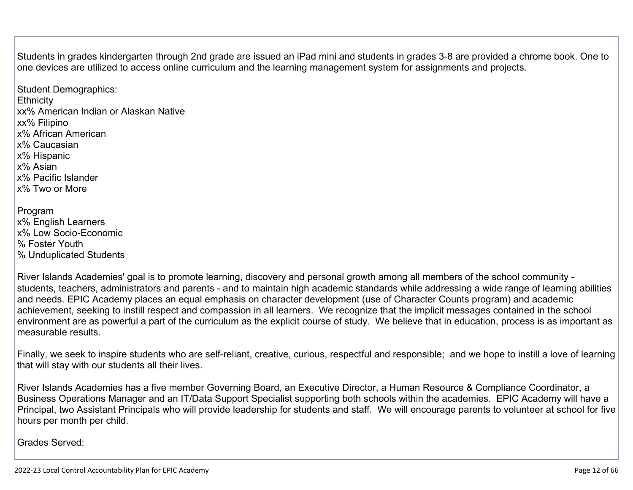Students in grades kindergarten through 2nd grade are issued an iPad mini and students in grades 3-8 are provided a chrome book. One to one devices are utilized to access online curriculum and the learning management system for assignments and projects.

Student Demographics: **Ethnicity** xx% American Indian or Alaskan Native xx% Filipino x% African American x% Caucasian x% Hispanic x% Asian x% Pacific Islander x% Two or More Program x% English Learners x% Low Socio-Economic % Foster Youth

% Unduplicated Students

River Islands Academies' goal is to promote learning, discovery and personal growth among all members of the school community students, teachers, administrators and parents - and to maintain high academic standards while addressing a wide range of learning abilities and needs. EPIC Academy places an equal emphasis on character development (use of Character Counts program) and academic achievement, seeking to instill respect and compassion in all learners. We recognize that the implicit messages contained in the school environment are as powerful a part of the curriculum as the explicit course of study. We believe that in education, process is as important as measurable results.

Finally, we seek to inspire students who are self-reliant, creative, curious, respectful and responsible; and we hope to instill a love of learning that will stay with our students all their lives.

River Islands Academies has a five member Governing Board, an Executive Director, a Human Resource & Compliance Coordinator, a Business Operations Manager and an IT/Data Support Specialist supporting both schools within the academies. EPIC Academy will have a Principal, two Assistant Principals who will provide leadership for students and staff. We will encourage parents to volunteer at school for five hours per month per child.

Grades Served: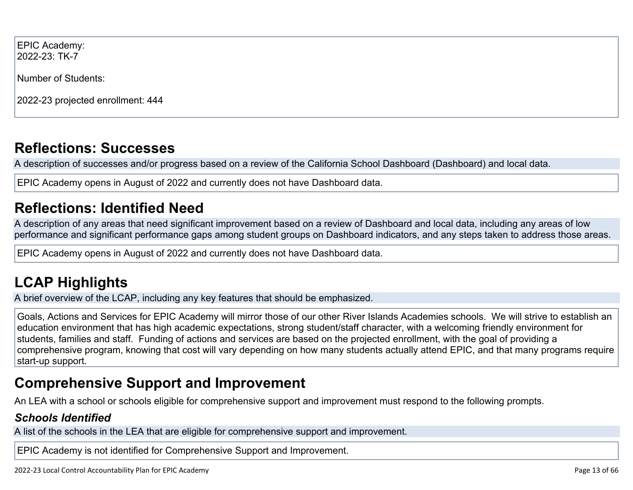EPIC Academy: 2022-23: TK-7

Number of Students:

2022-23 projected enrollment: 444

# **[Reflections: Successes](http://www.doc-tracking.com/screenshots/22LCAP/Instructions/22LCAPInstructions.htm#ReflectionsSuccesses)**

A description of successes and/or progress based on a review of the California School Dashboard (Dashboard) and local data.

EPIC Academy opens in August of 2022 and currently does not have Dashboard data.

# **[Reflections: Identified Need](http://www.doc-tracking.com/screenshots/22LCAP/Instructions/22LCAPInstructions.htm#ReflectionsIdentifiedNeed)**

A description of any areas that need significant improvement based on a review of Dashboard and local data, including any areas of low performance and significant performance gaps among student groups on Dashboard indicators, and any steps taken to address those areas.

EPIC Academy opens in August of 2022 and currently does not have Dashboard data.

# **[LCAP Highlights](http://www.doc-tracking.com/screenshots/22LCAP/Instructions/22LCAPInstructions.htm#LCAPHighlights)**

A brief overview of the LCAP, including any key features that should be emphasized.

Goals, Actions and Services for EPIC Academy will mirror those of our other River Islands Academies schools. We will strive to establish an education environment that has high academic expectations, strong student/staff character, with a welcoming friendly environment for students, families and staff. Funding of actions and services are based on the projected enrollment, with the goal of providing a comprehensive program, knowing that cost will vary depending on how many students actually attend EPIC, and that many programs require start-up support.

## **Comprehensive Support and Improvement**

An LEA with a school or schools eligible for comprehensive support and improvement must respond to the following prompts.

### *[Schools Identified](http://www.doc-tracking.com/screenshots/22LCAP/Instructions/22LCAPInstructions.htm#SchoolsIdentified)*

A list of the schools in the LEA that are eligible for comprehensive support and improvement.

EPIC Academy is not identified for Comprehensive Support and Improvement.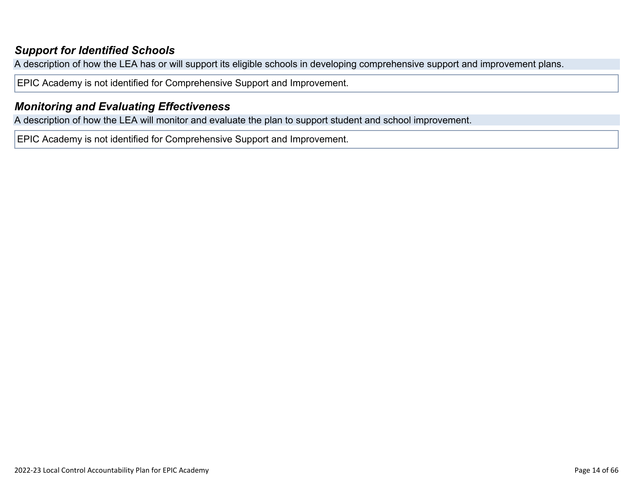### *[Support for Identified Schools](http://www.doc-tracking.com/screenshots/22LCAP/Instructions/22LCAPInstructions.htm#SupportforIdentifiedSchools)*

A description of how the LEA has or will support its eligible schools in developing comprehensive support and improvement plans.

EPIC Academy is not identified for Comprehensive Support and Improvement.

### *[Monitoring and Evaluating Effectiveness](http://www.doc-tracking.com/screenshots/22LCAP/Instructions/22LCAPInstructions.htm#MonitoringandEvaluatingEffectiveness)*

A description of how the LEA will monitor and evaluate the plan to support student and school improvement.

EPIC Academy is not identified for Comprehensive Support and Improvement.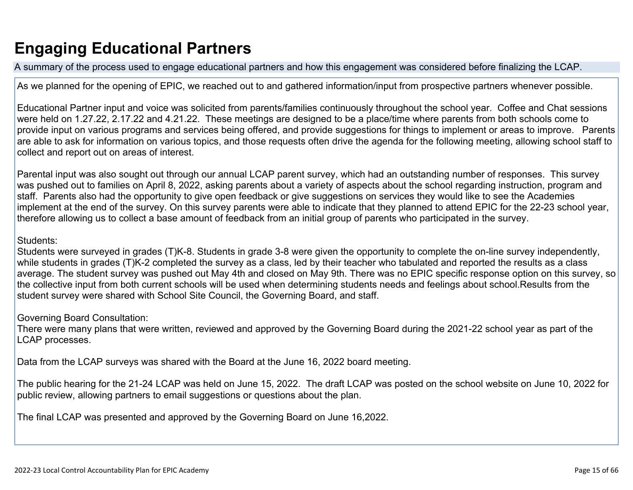# **Engaging Educational Partners**

A summary of the process used to engage educational partners and how this engagement was considered before finalizing the LCAP.

As we planned for the opening of EPIC, we reached out to and gathered information/input from prospective partners whenever possible.

Educational Partner input and voice was solicited from parents/families continuously throughout the school year. Coffee and Chat sessions were held on 1.27.22, 2.17.22 and 4.21.22. These meetings are designed to be a place/time where parents from both schools come to provide input on various programs and services being offered, and provide suggestions for things to implement or areas to improve. Parents are able to ask for information on various topics, and those requests often drive the agenda for the following meeting, allowing school staff to collect and report out on areas of interest.

Parental input was also sought out through our annual LCAP parent survey, which had an outstanding number of responses. This survey was pushed out to families on April 8, 2022, asking parents about a variety of aspects about the school regarding instruction, program and staff. Parents also had the opportunity to give open feedback or give suggestions on services they would like to see the Academies implement at the end of the survey. On this survey parents were able to indicate that they planned to attend EPIC for the 22-23 school year, therefore allowing us to collect a base amount of feedback from an initial group of parents who participated in the survey.

### Students:

Students were surveyed in grades (T)K-8. Students in grade 3-8 were given the opportunity to complete the on-line survey independently, while students in grades (T)K-2 completed the survey as a class, led by their teacher who tabulated and reported the results as a class average. The student survey was pushed out May 4th and closed on May 9th. There was no EPIC specific response option on this survey, so the collective input from both current schools will be used when determining students needs and feelings about school.Results from the student survey were shared with School Site Council, the Governing Board, and staff.

Governing Board Consultation:

There were many plans that were written, reviewed and approved by the Governing Board during the 2021-22 school year as part of the LCAP processes.

Data from the LCAP surveys was shared with the Board at the June 16, 2022 board meeting.

The public hearing for the 21-24 LCAP was held on June 15, 2022. The draft LCAP was posted on the school website on June 10, 2022 for public review, allowing partners to email suggestions or questions about the plan.

The final LCAP was presented and approved by the Governing Board on June 16,2022.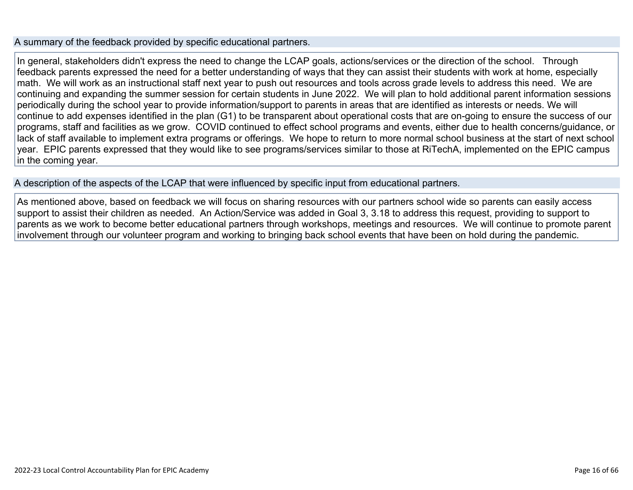#### A summary of the feedback provided by specific educational partners.

In general, stakeholders didn't express the need to change the LCAP goals, actions/services or the direction of the school. Through feedback parents expressed the need for a better understanding of ways that they can assist their students with work at home, especially math. We will work as an instructional staff next year to push out resources and tools across grade levels to address this need. We are continuing and expanding the summer session for certain students in June 2022. We will plan to hold additional parent information sessions periodically during the school year to provide information/support to parents in areas that are identified as interests or needs. We will continue to add expenses identified in the plan (G1) to be transparent about operational costs that are on-going to ensure the success of our programs, staff and facilities as we grow. COVID continued to effect school programs and events, either due to health concerns/guidance, or lack of staff available to implement extra programs or offerings. We hope to return to more normal school business at the start of next school year. EPIC parents expressed that they would like to see programs/services similar to those at RiTechA, implemented on the EPIC campus in the coming year.

A description of the aspects of the LCAP that were influenced by specific input from educational partners.

As mentioned above, based on feedback we will focus on sharing resources with our partners school wide so parents can easily access support to assist their children as needed. An Action/Service was added in Goal 3, 3.18 to address this request, providing to support to parents as we work to become better educational partners through workshops, meetings and resources. We will continue to promote parent involvement through our volunteer program and working to bringing back school events that have been on hold during the pandemic.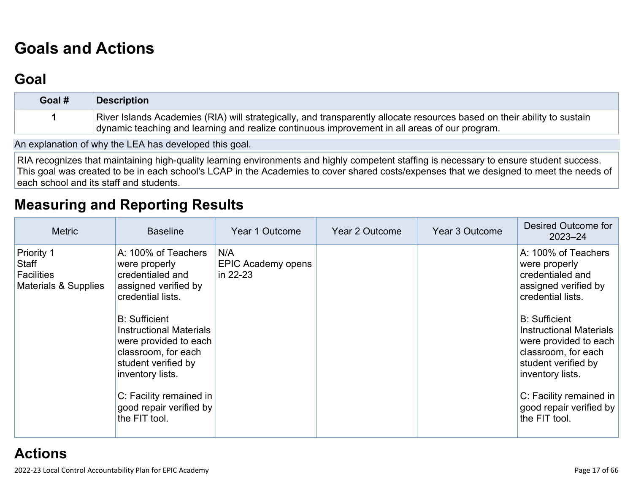# **[Goals and Actions](http://www.doc-tracking.com/screenshots/22LCAP/Instructions/22LCAPInstructions.htm#GoalsandActions)**

# **[Goal](http://www.doc-tracking.com/screenshots/22LCAP/Instructions/22LCAPInstructions.htm#goalDescription)**

| Goal # | <b>Description</b>                                                                                                                                                                                                        |
|--------|---------------------------------------------------------------------------------------------------------------------------------------------------------------------------------------------------------------------------|
|        | River Islands Academies (RIA) will strategically, and transparently allocate resources based on their ability to sustain<br>dynamic teaching and learning and realize continuous improvement in all areas of our program. |

An explanation of why the LEA has developed this goal.

RIA recognizes that maintaining high-quality learning environments and highly competent staffing is necessary to ensure student success. This goal was created to be in each school's LCAP in the Academies to cover shared costs/expenses that we designed to meet the needs of each school and its staff and students.

## **[Measuring and Reporting Results](http://www.doc-tracking.com/screenshots/22LCAP/Instructions/22LCAPInstructions.htm#MeasuringandReportingResults)**

| <b>Metric</b>                                                           | <b>Baseline</b>                                                                                                                                                                                                                                                                                                                   | Year 1 Outcome                        | Year 2 Outcome | Year 3 Outcome | Desired Outcome for<br>$2023 - 24$                                                                                                                                                                                                                                                                                                |
|-------------------------------------------------------------------------|-----------------------------------------------------------------------------------------------------------------------------------------------------------------------------------------------------------------------------------------------------------------------------------------------------------------------------------|---------------------------------------|----------------|----------------|-----------------------------------------------------------------------------------------------------------------------------------------------------------------------------------------------------------------------------------------------------------------------------------------------------------------------------------|
| <b>Priority 1</b><br>Staff<br><b>Facilities</b><br>Materials & Supplies | A: 100% of Teachers<br>were properly<br>credentialed and<br>assigned verified by<br>credential lists.<br><b>B:</b> Sufficient<br><b>Instructional Materials</b><br>were provided to each<br>classroom, for each<br>student verified by<br>inventory lists.<br>C: Facility remained in<br>good repair verified by<br>the FIT tool. | N/A<br>EPIC Academy opens<br>in 22-23 |                |                | A: 100% of Teachers<br>were properly<br>credentialed and<br>assigned verified by<br>credential lists.<br><b>B:</b> Sufficient<br><b>Instructional Materials</b><br>were provided to each<br>classroom, for each<br>student verified by<br>inventory lists.<br>C: Facility remained in<br>good repair verified by<br>the FIT tool. |
|                                                                         |                                                                                                                                                                                                                                                                                                                                   |                                       |                |                |                                                                                                                                                                                                                                                                                                                                   |

**[Actions](http://www.doc-tracking.com/screenshots/22LCAP/Instructions/22LCAPInstructions.htm#actions)**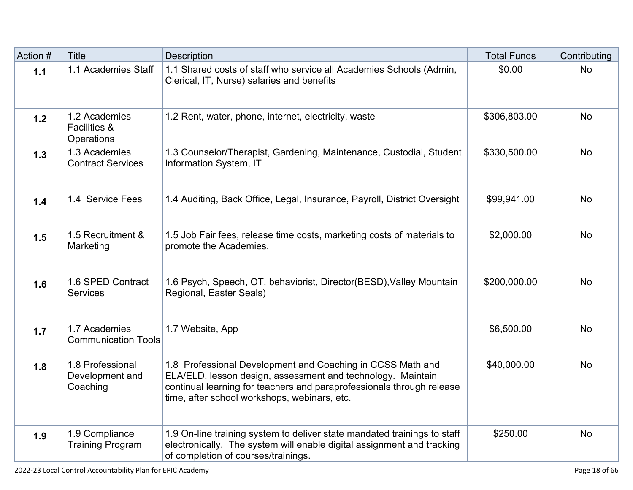| Action # | <b>Title</b>                                           | Description                                                                                                                                                                                                                                        | <b>Total Funds</b> | Contributing |
|----------|--------------------------------------------------------|----------------------------------------------------------------------------------------------------------------------------------------------------------------------------------------------------------------------------------------------------|--------------------|--------------|
| $1.1$    | 1.1 Academies Staff                                    | 1.1 Shared costs of staff who service all Academies Schools (Admin,<br>Clerical, IT, Nurse) salaries and benefits                                                                                                                                  | \$0.00             | <b>No</b>    |
| $1.2$    | 1.2 Academies<br><b>Facilities &amp;</b><br>Operations | 1.2 Rent, water, phone, internet, electricity, waste                                                                                                                                                                                               | \$306,803.00       | <b>No</b>    |
| 1.3      | 1.3 Academies<br><b>Contract Services</b>              | 1.3 Counselor/Therapist, Gardening, Maintenance, Custodial, Student<br>Information System, IT                                                                                                                                                      | \$330,500.00       | <b>No</b>    |
| 1.4      | 1.4 Service Fees                                       | 1.4 Auditing, Back Office, Legal, Insurance, Payroll, District Oversight                                                                                                                                                                           | \$99,941.00        | <b>No</b>    |
| 1.5      | 1.5 Recruitment &<br>Marketing                         | 1.5 Job Fair fees, release time costs, marketing costs of materials to<br>promote the Academies.                                                                                                                                                   | \$2,000.00         | <b>No</b>    |
| 1.6      | 1.6 SPED Contract<br><b>Services</b>                   | 1.6 Psych, Speech, OT, behaviorist, Director(BESD), Valley Mountain<br>Regional, Easter Seals)                                                                                                                                                     | \$200,000.00       | <b>No</b>    |
| 1.7      | 1.7 Academies<br><b>Communication Tools</b>            | 1.7 Website, App                                                                                                                                                                                                                                   | \$6,500.00         | <b>No</b>    |
| 1.8      | 1.8 Professional<br>Development and<br>Coaching        | 1.8 Professional Development and Coaching in CCSS Math and<br>ELA/ELD, lesson design, assessment and technology. Maintain<br>continual learning for teachers and paraprofessionals through release<br>time, after school workshops, webinars, etc. | \$40,000.00        | <b>No</b>    |
| 1.9      | 1.9 Compliance<br><b>Training Program</b>              | 1.9 On-line training system to deliver state mandated trainings to staff<br>electronically. The system will enable digital assignment and tracking<br>of completion of courses/trainings.                                                          | \$250.00           | <b>No</b>    |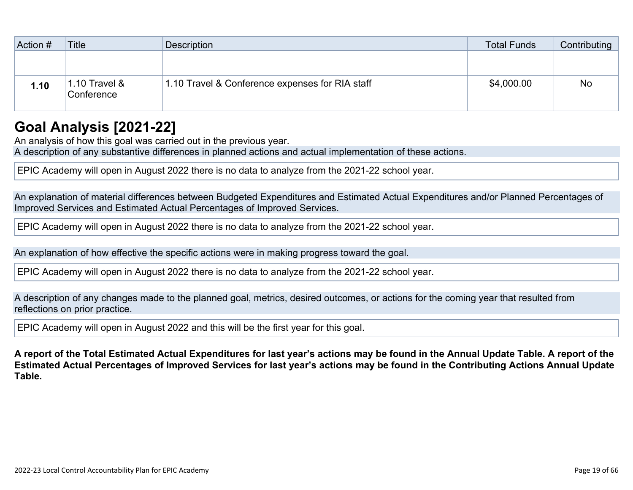| Action # | <b>Title</b>                | Description                                     | <b>Total Funds</b> | Contributing |
|----------|-----------------------------|-------------------------------------------------|--------------------|--------------|
|          |                             |                                                 |                    |              |
| 1.10     | 1.10 Travel &<br>Conference | 1.10 Travel & Conference expenses for RIA staff | \$4,000.00         | <b>No</b>    |

## **[Goal Analysis \[2021-22\]](http://www.doc-tracking.com/screenshots/22LCAP/Instructions/22LCAPInstructions.htm#GoalAnalysis)**

An analysis of how this goal was carried out in the previous year.

A description of any substantive differences in planned actions and actual implementation of these actions.

EPIC Academy will open in August 2022 there is no data to analyze from the 2021-22 school year.

An explanation of material differences between Budgeted Expenditures and Estimated Actual Expenditures and/or Planned Percentages of Improved Services and Estimated Actual Percentages of Improved Services.

EPIC Academy will open in August 2022 there is no data to analyze from the 2021-22 school year.

An explanation of how effective the specific actions were in making progress toward the goal.

EPIC Academy will open in August 2022 there is no data to analyze from the 2021-22 school year.

A description of any changes made to the planned goal, metrics, desired outcomes, or actions for the coming year that resulted from reflections on prior practice.

EPIC Academy will open in August 2022 and this will be the first year for this goal.

**A report of the Total Estimated Actual Expenditures for last year's actions may be found in the Annual Update Table. A report of the Estimated Actual Percentages of Improved Services for last year's actions may be found in the Contributing Actions Annual Update Table.**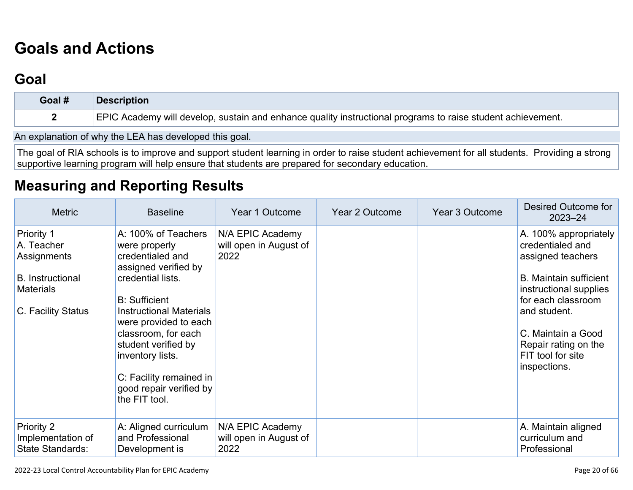# **[Goals and Actions](http://www.doc-tracking.com/screenshots/22LCAP/Instructions/22LCAPInstructions.htm#GoalsandActions)**

# **[Goal](http://www.doc-tracking.com/screenshots/22LCAP/Instructions/22LCAPInstructions.htm#goalDescription)**

| Goal # | <b>Description</b>                                                                                          |
|--------|-------------------------------------------------------------------------------------------------------------|
|        | EPIC Academy will develop, sustain and enhance quality instructional programs to raise student achievement. |

An explanation of why the LEA has developed this goal.

The goal of RIA schools is to improve and support student learning in order to raise student achievement for all students. Providing a strong supportive learning program will help ensure that students are prepared for secondary education.

## **[Measuring and Reporting Results](http://www.doc-tracking.com/screenshots/22LCAP/Instructions/22LCAPInstructions.htm#MeasuringandReportingResults)**

| <b>Metric</b>                                                                                                | <b>Baseline</b>                                                                                                                                                                                                                                                                                                                   | Year 1 Outcome                                     | Year 2 Outcome | Year 3 Outcome | <b>Desired Outcome for</b><br>$2023 - 24$                                                                                                                                                                                                          |
|--------------------------------------------------------------------------------------------------------------|-----------------------------------------------------------------------------------------------------------------------------------------------------------------------------------------------------------------------------------------------------------------------------------------------------------------------------------|----------------------------------------------------|----------------|----------------|----------------------------------------------------------------------------------------------------------------------------------------------------------------------------------------------------------------------------------------------------|
| Priority 1<br>A. Teacher<br>Assignments<br><b>B.</b> Instructional<br><b>Materials</b><br>C. Facility Status | A: 100% of Teachers<br>were properly<br>credentialed and<br>assigned verified by<br>credential lists.<br><b>B:</b> Sufficient<br><b>Instructional Materials</b><br>were provided to each<br>classroom, for each<br>student verified by<br>inventory lists.<br>C: Facility remained in<br>good repair verified by<br>the FIT tool. | N/A EPIC Academy<br>will open in August of<br>2022 |                |                | A. 100% appropriately<br>credentialed and<br>assigned teachers<br><b>B.</b> Maintain sufficient<br>instructional supplies<br>for each classroom<br>and student.<br>C. Maintain a Good<br>Repair rating on the<br>FIT tool for site<br>inspections. |
| <b>Priority 2</b><br>Implementation of<br><b>State Standards:</b>                                            | A: Aligned curriculum<br>and Professional<br>Development is                                                                                                                                                                                                                                                                       | N/A EPIC Academy<br>will open in August of<br>2022 |                |                | A. Maintain aligned<br>curriculum and<br>Professional                                                                                                                                                                                              |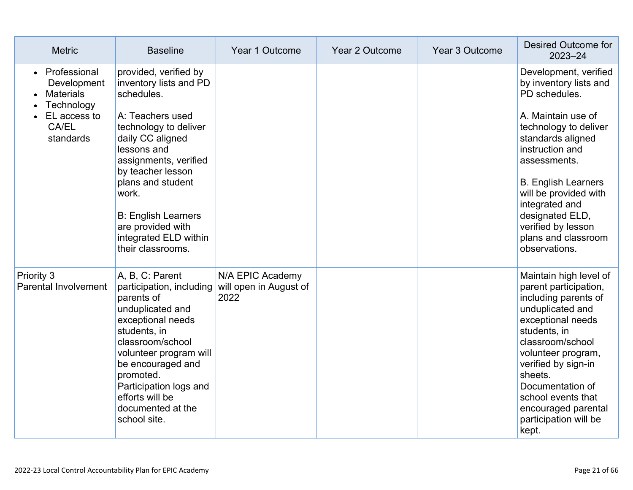| <b>Metric</b>                                                                                                    | <b>Baseline</b>                                                                                                                                                                                                                                                                                                            | Year 1 Outcome                                     | Year 2 Outcome | Year 3 Outcome | Desired Outcome for<br>2023-24                                                                                                                                                                                                                                                                                                    |
|------------------------------------------------------------------------------------------------------------------|----------------------------------------------------------------------------------------------------------------------------------------------------------------------------------------------------------------------------------------------------------------------------------------------------------------------------|----------------------------------------------------|----------------|----------------|-----------------------------------------------------------------------------------------------------------------------------------------------------------------------------------------------------------------------------------------------------------------------------------------------------------------------------------|
| Professional<br>$\bullet$<br>Development<br><b>Materials</b><br>Technology<br>EL access to<br>CA/EL<br>standards | provided, verified by<br>inventory lists and PD<br>schedules.<br>A: Teachers used<br>technology to deliver<br>daily CC aligned<br>lessons and<br>assignments, verified<br>by teacher lesson<br>plans and student<br>work.<br><b>B: English Learners</b><br>are provided with<br>integrated ELD within<br>their classrooms. |                                                    |                |                | Development, verified<br>by inventory lists and<br>PD schedules.<br>A. Maintain use of<br>technology to deliver<br>standards aligned<br>instruction and<br>assessments.<br><b>B. English Learners</b><br>will be provided with<br>integrated and<br>designated ELD,<br>verified by lesson<br>plans and classroom<br>observations. |
| <b>Priority 3</b><br><b>Parental Involvement</b>                                                                 | A, B, C: Parent<br>participation, including<br>parents of<br>unduplicated and<br>exceptional needs<br>students, in<br>classroom/school<br>volunteer program will<br>be encouraged and<br>promoted.<br>Participation logs and<br>efforts will be<br>documented at the<br>school site.                                       | N/A EPIC Academy<br>will open in August of<br>2022 |                |                | Maintain high level of<br>parent participation,<br>including parents of<br>unduplicated and<br>exceptional needs<br>students, in<br>classroom/school<br>volunteer program,<br>verified by sign-in<br>sheets.<br>Documentation of<br>school events that<br>encouraged parental<br>participation will be<br>kept.                   |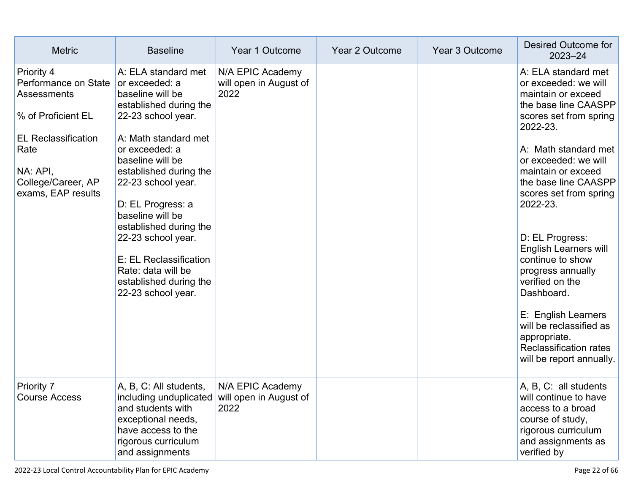| <b>Metric</b>                                                                                                                                                         | <b>Baseline</b>                                                                                                                                                                                                                                                                                                                                                                                                  | Year 1 Outcome                                     | Year 2 Outcome | Year 3 Outcome | Desired Outcome for<br>$2023 - 24$                                                                                                                                                                                                                                                                                                                                                                                                                                                                                              |
|-----------------------------------------------------------------------------------------------------------------------------------------------------------------------|------------------------------------------------------------------------------------------------------------------------------------------------------------------------------------------------------------------------------------------------------------------------------------------------------------------------------------------------------------------------------------------------------------------|----------------------------------------------------|----------------|----------------|---------------------------------------------------------------------------------------------------------------------------------------------------------------------------------------------------------------------------------------------------------------------------------------------------------------------------------------------------------------------------------------------------------------------------------------------------------------------------------------------------------------------------------|
| Priority 4<br>Performance on State<br>Assessments<br>% of Proficient EL<br><b>EL Reclassification</b><br>Rate<br>NA: API,<br>College/Career, AP<br>exams, EAP results | A: ELA standard met<br>or exceeded: a<br>baseline will be<br>established during the<br>22-23 school year.<br>A: Math standard met<br>or exceeded: a<br>baseline will be<br>established during the<br>22-23 school year.<br>D: EL Progress: a<br>baseline will be<br>established during the<br>22-23 school year.<br>E: EL Reclassification<br>Rate: data will be<br>established during the<br>22-23 school year. | N/A EPIC Academy<br>will open in August of<br>2022 |                |                | A: ELA standard met<br>or exceeded: we will<br>maintain or exceed<br>the base line CAASPP<br>scores set from spring<br>2022-23.<br>A: Math standard met<br>or exceeded: we will<br>maintain or exceed<br>the base line CAASPP<br>scores set from spring<br>2022-23.<br>D: EL Progress:<br><b>English Learners will</b><br>continue to show<br>progress annually<br>verified on the<br>Dashboard.<br>E: English Learners<br>will be reclassified as<br>appropriate.<br><b>Reclassification rates</b><br>will be report annually. |
| Priority 7<br>Course Access                                                                                                                                           | A, B, C: All students,<br>including unduplicated<br>and students with<br>exceptional needs,<br>have access to the<br>rigorous curriculum<br>and assignments                                                                                                                                                                                                                                                      | N/A EPIC Academy<br>will open in August of<br>2022 |                |                | A, B, C: all students<br>will continue to have<br>access to a broad<br>course of study,<br>rigorous curriculum<br>and assignments as<br>verified by                                                                                                                                                                                                                                                                                                                                                                             |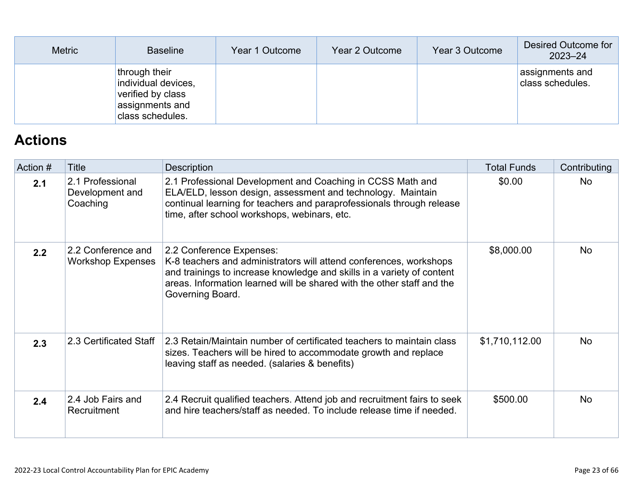| <b>Metric</b> | <b>Baseline</b>                                                                                  | Year 1 Outcome | Year 2 Outcome | Year 3 Outcome | Desired Outcome for<br>$2023 - 24$  |
|---------------|--------------------------------------------------------------------------------------------------|----------------|----------------|----------------|-------------------------------------|
|               | through their<br>individual devices,<br>verified by class<br>assignments and<br>class schedules. |                |                |                | assignments and<br>class schedules. |

# **[Actions](http://www.doc-tracking.com/screenshots/22LCAP/Instructions/22LCAPInstructions.htm#actions)**

| Action # | Title                                           | Description                                                                                                                                                                                                                                                            | <b>Total Funds</b> | Contributing |
|----------|-------------------------------------------------|------------------------------------------------------------------------------------------------------------------------------------------------------------------------------------------------------------------------------------------------------------------------|--------------------|--------------|
| 2.1      | 2.1 Professional<br>Development and<br>Coaching | 2.1 Professional Development and Coaching in CCSS Math and<br>ELA/ELD, lesson design, assessment and technology. Maintain<br>continual learning for teachers and paraprofessionals through release<br>time, after school workshops, webinars, etc.                     | \$0.00             | No           |
| 2.2      | 2.2 Conference and<br><b>Workshop Expenses</b>  | 2.2 Conference Expenses:<br>K-8 teachers and administrators will attend conferences, workshops<br>and trainings to increase knowledge and skills in a variety of content<br>areas. Information learned will be shared with the other staff and the<br>Governing Board. | \$8,000.00         | <b>No</b>    |
| 2.3      | 2.3 Certificated Staff                          | 2.3 Retain/Maintain number of certificated teachers to maintain class<br>sizes. Teachers will be hired to accommodate growth and replace<br>leaving staff as needed. (salaries & benefits)                                                                             | \$1,710,112.00     | <b>No</b>    |
| 2.4      | 2.4 Job Fairs and<br>Recruitment                | 2.4 Recruit qualified teachers. Attend job and recruitment fairs to seek<br>and hire teachers/staff as needed. To include release time if needed.                                                                                                                      | \$500.00           | <b>No</b>    |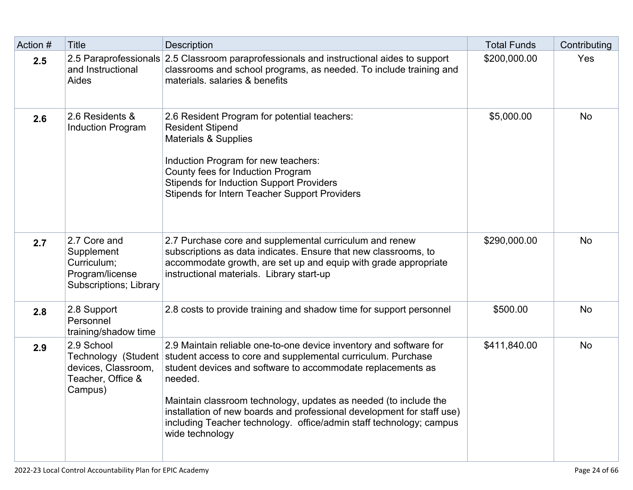| Action # | <b>Title</b>                                                                           | <b>Description</b>                                                                                                                                                                                                                                                                                                                                                                                                                                                       | <b>Total Funds</b> | Contributing |
|----------|----------------------------------------------------------------------------------------|--------------------------------------------------------------------------------------------------------------------------------------------------------------------------------------------------------------------------------------------------------------------------------------------------------------------------------------------------------------------------------------------------------------------------------------------------------------------------|--------------------|--------------|
| 2.5      | and Instructional<br><b>Aides</b>                                                      | 2.5 Paraprofessionals 2.5 Classroom paraprofessionals and instructional aides to support<br>classrooms and school programs, as needed. To include training and<br>materials. salaries & benefits                                                                                                                                                                                                                                                                         | \$200,000.00       | Yes          |
| 2.6      | 2.6 Residents &<br>Induction Program                                                   | 2.6 Resident Program for potential teachers:<br><b>Resident Stipend</b><br><b>Materials &amp; Supplies</b><br>Induction Program for new teachers:<br>County fees for Induction Program<br><b>Stipends for Induction Support Providers</b><br><b>Stipends for Intern Teacher Support Providers</b>                                                                                                                                                                        | \$5,000.00         | <b>No</b>    |
| 2.7      | 2.7 Core and<br>Supplement<br>Curriculum;<br>Program/license<br>Subscriptions; Library | 2.7 Purchase core and supplemental curriculum and renew<br>subscriptions as data indicates. Ensure that new classrooms, to<br>accommodate growth, are set up and equip with grade appropriate<br>instructional materials. Library start-up                                                                                                                                                                                                                               | \$290,000.00       | <b>No</b>    |
| 2.8      | 2.8 Support<br>Personnel<br>training/shadow time                                       | 2.8 costs to provide training and shadow time for support personnel                                                                                                                                                                                                                                                                                                                                                                                                      | \$500.00           | <b>No</b>    |
| 2.9      | 2.9 School<br>devices, Classroom,<br>Teacher, Office &<br>Campus)                      | 2.9 Maintain reliable one-to-one device inventory and software for<br>Technology (Student student access to core and supplemental curriculum. Purchase<br>student devices and software to accommodate replacements as<br>needed.<br>Maintain classroom technology, updates as needed (to include the<br>installation of new boards and professional development for staff use)<br>including Teacher technology. office/admin staff technology; campus<br>wide technology | \$411,840.00       | <b>No</b>    |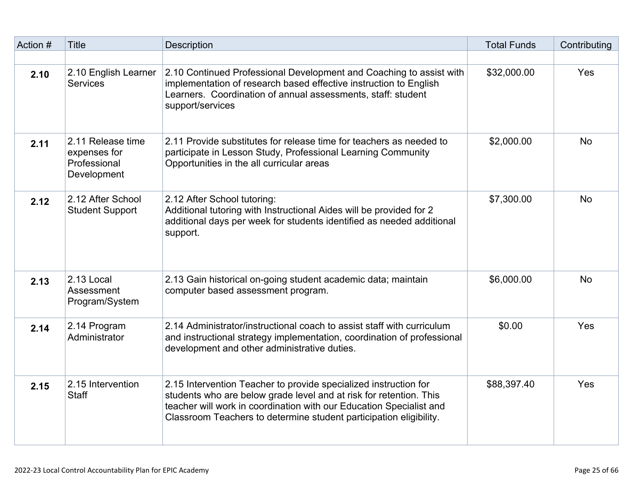| Action # | <b>Title</b>                                                     | Description                                                                                                                                                                                                                                                                         | <b>Total Funds</b> | Contributing |
|----------|------------------------------------------------------------------|-------------------------------------------------------------------------------------------------------------------------------------------------------------------------------------------------------------------------------------------------------------------------------------|--------------------|--------------|
| 2.10     | 2.10 English Learner<br><b>Services</b>                          | 2.10 Continued Professional Development and Coaching to assist with<br>implementation of research based effective instruction to English<br>Learners. Coordination of annual assessments, staff: student<br>support/services                                                        | \$32,000.00        | Yes          |
| 2.11     | 2.11 Release time<br>expenses for<br>Professional<br>Development | 2.11 Provide substitutes for release time for teachers as needed to<br>participate in Lesson Study, Professional Learning Community<br>Opportunities in the all curricular areas                                                                                                    | \$2,000.00         | <b>No</b>    |
| 2.12     | 2.12 After School<br><b>Student Support</b>                      | 2.12 After School tutoring:<br>Additional tutoring with Instructional Aides will be provided for 2<br>additional days per week for students identified as needed additional<br>support.                                                                                             | \$7,300.00         | <b>No</b>    |
| 2.13     | 2.13 Local<br>Assessment<br>Program/System                       | 2.13 Gain historical on-going student academic data; maintain<br>computer based assessment program.                                                                                                                                                                                 | \$6,000.00         | <b>No</b>    |
| 2.14     | 2.14 Program<br>Administrator                                    | 2.14 Administrator/instructional coach to assist staff with curriculum<br>and instructional strategy implementation, coordination of professional<br>development and other administrative duties.                                                                                   | \$0.00             | Yes          |
| 2.15     | 2.15 Intervention<br><b>Staff</b>                                | 2.15 Intervention Teacher to provide specialized instruction for<br>students who are below grade level and at risk for retention. This<br>teacher will work in coordination with our Education Specialist and<br>Classroom Teachers to determine student participation eligibility. | \$88,397.40        | Yes          |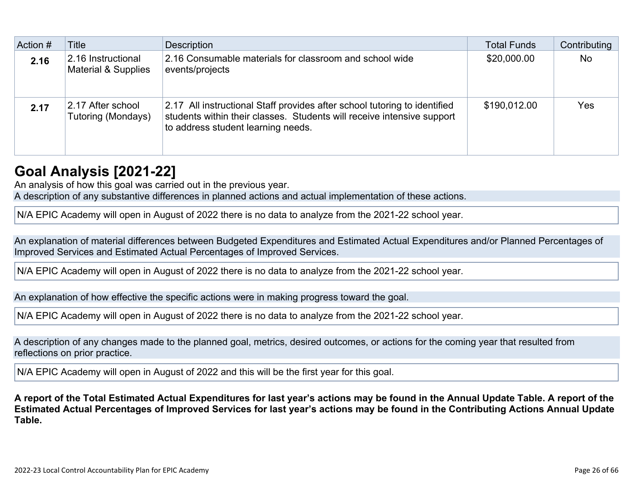| Action # | Title                                                | <b>Description</b>                                                                                                                                                                        | <b>Total Funds</b> | Contributing |
|----------|------------------------------------------------------|-------------------------------------------------------------------------------------------------------------------------------------------------------------------------------------------|--------------------|--------------|
| 2.16     | 2.16 Instructional<br><b>Material &amp; Supplies</b> | 2.16 Consumable materials for classroom and school wide<br>events/projects                                                                                                                | \$20,000.00        | <b>No</b>    |
| 2.17     | 2.17 After school<br>Tutoring (Mondays)              | 2.17 All instructional Staff provides after school tutoring to identified<br>students within their classes. Students will receive intensive support<br>to address student learning needs. | \$190,012.00       | <b>Yes</b>   |

## **[Goal Analysis \[2021-22\]](http://www.doc-tracking.com/screenshots/22LCAP/Instructions/22LCAPInstructions.htm#GoalAnalysis)**

An analysis of how this goal was carried out in the previous year. A description of any substantive differences in planned actions and actual implementation of these actions.

N/A EPIC Academy will open in August of 2022 there is no data to analyze from the 2021-22 school year.

An explanation of material differences between Budgeted Expenditures and Estimated Actual Expenditures and/or Planned Percentages of Improved Services and Estimated Actual Percentages of Improved Services.

N/A EPIC Academy will open in August of 2022 there is no data to analyze from the 2021-22 school year.

An explanation of how effective the specific actions were in making progress toward the goal.

N/A EPIC Academy will open in August of 2022 there is no data to analyze from the 2021-22 school year.

A description of any changes made to the planned goal, metrics, desired outcomes, or actions for the coming year that resulted from reflections on prior practice.

N/A EPIC Academy will open in August of 2022 and this will be the first year for this goal.

**A report of the Total Estimated Actual Expenditures for last year's actions may be found in the Annual Update Table. A report of the Estimated Actual Percentages of Improved Services for last year's actions may be found in the Contributing Actions Annual Update Table.**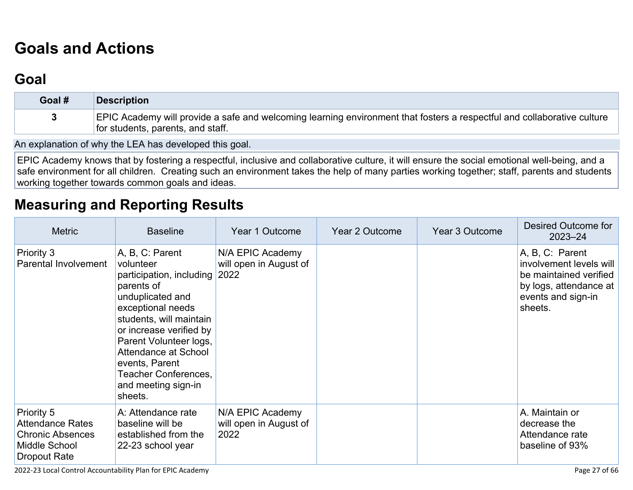# **[Goals and Actions](http://www.doc-tracking.com/screenshots/22LCAP/Instructions/22LCAPInstructions.htm#GoalsandActions)**

## **[Goal](http://www.doc-tracking.com/screenshots/22LCAP/Instructions/22LCAPInstructions.htm#goalDescription)**

| Goal # | <b>Description</b>                                                                                                                                           |
|--------|--------------------------------------------------------------------------------------------------------------------------------------------------------------|
|        | EPIC Academy will provide a safe and welcoming learning environment that fosters a respectful and collaborative culture<br>for students, parents, and staff. |

An explanation of why the LEA has developed this goal.

EPIC Academy knows that by fostering a respectful, inclusive and collaborative culture, it will ensure the social emotional well-being, and a safe environment for all children. Creating such an environment takes the help of many parties working together; staff, parents and students working together towards common goals and ideas.

## **[Measuring and Reporting Results](http://www.doc-tracking.com/screenshots/22LCAP/Instructions/22LCAPInstructions.htm#MeasuringandReportingResults)**

| <b>Metric</b>                                                                                     | <b>Baseline</b>                                                                                                                                                                                                                                                                                                 | Year 1 Outcome                                     | <b>Year 2 Outcome</b> | Year 3 Outcome | Desired Outcome for<br>$2023 - 24$                                                                                              |
|---------------------------------------------------------------------------------------------------|-----------------------------------------------------------------------------------------------------------------------------------------------------------------------------------------------------------------------------------------------------------------------------------------------------------------|----------------------------------------------------|-----------------------|----------------|---------------------------------------------------------------------------------------------------------------------------------|
| Priority 3<br>Parental Involvement                                                                | A, B, C: Parent<br>volunteer<br>participation, including 2022<br>parents of<br>unduplicated and<br>exceptional needs<br>students, will maintain<br>or increase verified by<br>Parent Volunteer logs,<br><b>Attendance at School</b><br>events, Parent<br>Teacher Conferences,<br>and meeting sign-in<br>sheets. | N/A EPIC Academy<br>will open in August of         |                       |                | A, B, C: Parent<br>involvement levels will<br>be maintained verified<br>by logs, attendance at<br>events and sign-in<br>sheets. |
| Priority 5<br><b>Attendance Rates</b><br><b>Chronic Absences</b><br>Middle School<br>Dropout Rate | A: Attendance rate<br>baseline will be<br>established from the<br>22-23 school year                                                                                                                                                                                                                             | N/A EPIC Academy<br>will open in August of<br>2022 |                       |                | A. Maintain or<br>decrease the<br>Attendance rate<br>baseline of 93%                                                            |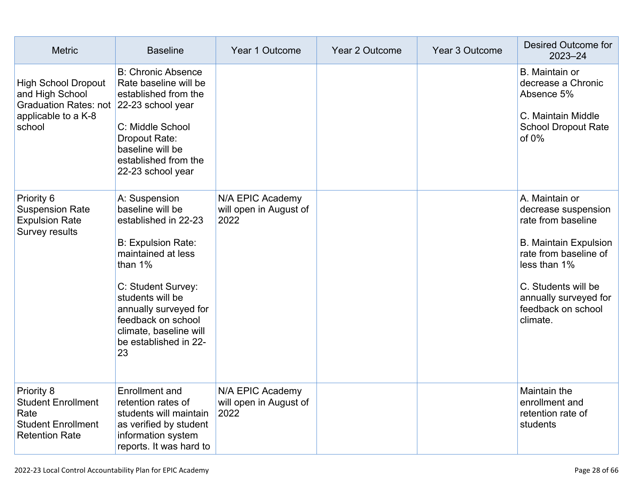| <b>Metric</b>                                                                                                             | <b>Baseline</b>                                                                                                                                                                                                                                                             | Year 1 Outcome                                     | Year 2 Outcome | Year 3 Outcome | Desired Outcome for<br>$2023 - 24$                                                                                                                                                                                     |
|---------------------------------------------------------------------------------------------------------------------------|-----------------------------------------------------------------------------------------------------------------------------------------------------------------------------------------------------------------------------------------------------------------------------|----------------------------------------------------|----------------|----------------|------------------------------------------------------------------------------------------------------------------------------------------------------------------------------------------------------------------------|
| <b>High School Dropout</b><br>and High School<br>Graduation Rates: not 22-23 school year<br>applicable to a K-8<br>school | <b>B: Chronic Absence</b><br>Rate baseline will be<br>established from the<br>C: Middle School<br>Dropout Rate:<br>baseline will be<br>established from the<br>22-23 school year                                                                                            |                                                    |                |                | B. Maintain or<br>decrease a Chronic<br>Absence 5%<br>C. Maintain Middle<br><b>School Dropout Rate</b><br>of $0\%$                                                                                                     |
| Priority 6<br><b>Suspension Rate</b><br><b>Expulsion Rate</b><br>Survey results                                           | A: Suspension<br>baseline will be<br>established in 22-23<br><b>B: Expulsion Rate:</b><br>maintained at less<br>than $1%$<br>C: Student Survey:<br>students will be<br>annually surveyed for<br>feedback on school<br>climate, baseline will<br>be established in 22-<br>23 | N/A EPIC Academy<br>will open in August of<br>2022 |                |                | A. Maintain or<br>decrease suspension<br>rate from baseline<br><b>B. Maintain Expulsion</b><br>rate from baseline of<br>less than 1%<br>C. Students will be<br>annually surveyed for<br>feedback on school<br>climate. |
| Priority 8<br><b>Student Enrollment</b><br>Rate<br><b>Student Enrollment</b><br><b>Retention Rate</b>                     | <b>Enrollment</b> and<br>retention rates of<br>students will maintain<br>as verified by student<br>information system<br>reports. It was hard to                                                                                                                            | N/A EPIC Academy<br>will open in August of<br>2022 |                |                | <b>Maintain the</b><br>enrollment and<br>retention rate of<br>students                                                                                                                                                 |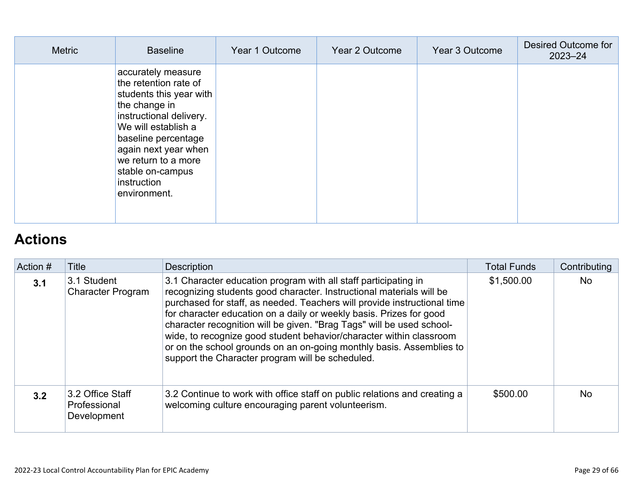| <b>Metric</b> | <b>Baseline</b>                                                                                                                                                                                                                                                    | Year 1 Outcome | Year 2 Outcome | Year 3 Outcome | Desired Outcome for<br>$2023 - 24$ |
|---------------|--------------------------------------------------------------------------------------------------------------------------------------------------------------------------------------------------------------------------------------------------------------------|----------------|----------------|----------------|------------------------------------|
|               | accurately measure<br>the retention rate of<br>students this year with<br>the change in<br>instructional delivery.<br>We will establish a<br>baseline percentage<br>again next year when<br>we return to a more<br>stable on-campus<br>instruction<br>environment. |                |                |                |                                    |

# **[Actions](http://www.doc-tracking.com/screenshots/22LCAP/Instructions/22LCAPInstructions.htm#actions)**

| Action # | Title                                           | <b>Description</b>                                                                                                                                                                                                                                                                                                                                                                                                                                                                                                                                                     | <b>Total Funds</b> | Contributing |
|----------|-------------------------------------------------|------------------------------------------------------------------------------------------------------------------------------------------------------------------------------------------------------------------------------------------------------------------------------------------------------------------------------------------------------------------------------------------------------------------------------------------------------------------------------------------------------------------------------------------------------------------------|--------------------|--------------|
| 3.1      | 3.1 Student<br><b>Character Program</b>         | 3.1 Character education program with all staff participating in<br>recognizing students good character. Instructional materials will be<br>purchased for staff, as needed. Teachers will provide instructional time<br>for character education on a daily or weekly basis. Prizes for good<br>character recognition will be given. "Brag Tags" will be used school-<br>wide, to recognize good student behavior/character within classroom<br>or on the school grounds on an on-going monthly basis. Assemblies to<br>support the Character program will be scheduled. | \$1,500.00         | <b>No</b>    |
| 3.2      | 3.2 Office Staff<br>Professional<br>Development | 3.2 Continue to work with office staff on public relations and creating a<br>welcoming culture encouraging parent volunteerism.                                                                                                                                                                                                                                                                                                                                                                                                                                        | \$500.00           | <b>No</b>    |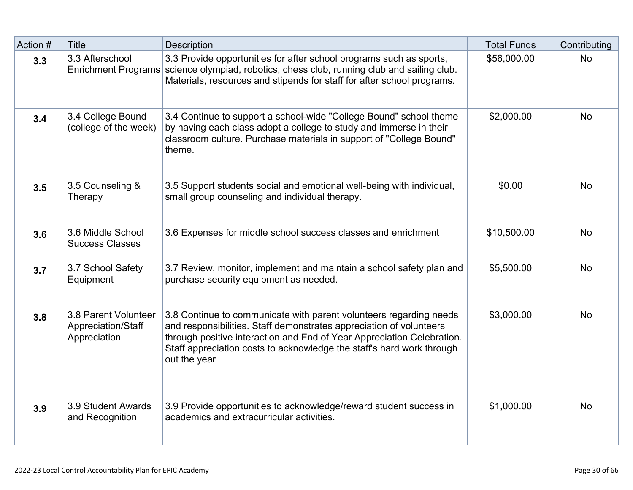| Action # | <b>Title</b>                                               | <b>Description</b>                                                                                                                                                                                                                                                                                           | <b>Total Funds</b> | Contributing |
|----------|------------------------------------------------------------|--------------------------------------------------------------------------------------------------------------------------------------------------------------------------------------------------------------------------------------------------------------------------------------------------------------|--------------------|--------------|
| 3.3      | 3.3 Afterschool                                            | 3.3 Provide opportunities for after school programs such as sports,<br>Enrichment Programs science olympiad, robotics, chess club, running club and sailing club.<br>Materials, resources and stipends for staff for after school programs.                                                                  | \$56,000.00        | <b>No</b>    |
| 3.4      | 3.4 College Bound<br>(college of the week)                 | 3.4 Continue to support a school-wide "College Bound" school theme<br>by having each class adopt a college to study and immerse in their<br>classroom culture. Purchase materials in support of "College Bound"<br>theme.                                                                                    | \$2,000.00         | <b>No</b>    |
| 3.5      | 3.5 Counseling &<br>Therapy                                | 3.5 Support students social and emotional well-being with individual,<br>small group counseling and individual therapy.                                                                                                                                                                                      | \$0.00             | <b>No</b>    |
| 3.6      | 3.6 Middle School<br><b>Success Classes</b>                | 3.6 Expenses for middle school success classes and enrichment                                                                                                                                                                                                                                                | \$10,500.00        | <b>No</b>    |
| 3.7      | 3.7 School Safety<br>Equipment                             | 3.7 Review, monitor, implement and maintain a school safety plan and<br>purchase security equipment as needed.                                                                                                                                                                                               | \$5,500.00         | <b>No</b>    |
| 3.8      | 3.8 Parent Volunteer<br>Appreciation/Staff<br>Appreciation | 3.8 Continue to communicate with parent volunteers regarding needs<br>and responsibilities. Staff demonstrates appreciation of volunteers<br>through positive interaction and End of Year Appreciation Celebration.<br>Staff appreciation costs to acknowledge the staff's hard work through<br>out the year | \$3,000.00         | <b>No</b>    |
| 3.9      | 3.9 Student Awards<br>and Recognition                      | 3.9 Provide opportunities to acknowledge/reward student success in<br>academics and extracurricular activities.                                                                                                                                                                                              | \$1,000.00         | <b>No</b>    |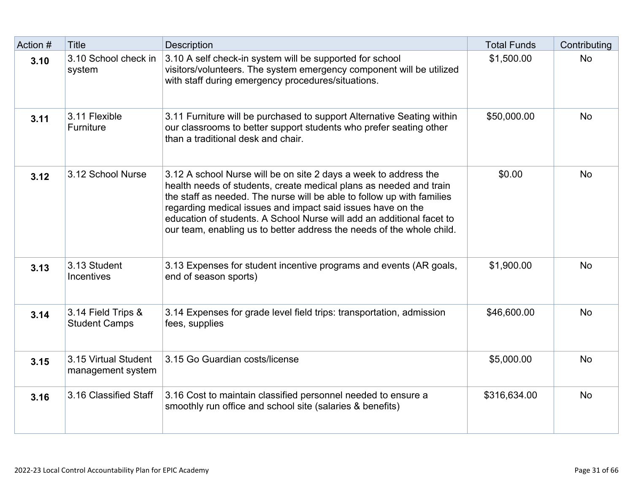| Action # | <b>Title</b>                               | <b>Description</b>                                                                                                                                                                                                                                                                                                                                                                                                                | <b>Total Funds</b> | Contributing |
|----------|--------------------------------------------|-----------------------------------------------------------------------------------------------------------------------------------------------------------------------------------------------------------------------------------------------------------------------------------------------------------------------------------------------------------------------------------------------------------------------------------|--------------------|--------------|
| 3.10     | 3.10 School check in<br>system             | 3.10 A self check-in system will be supported for school<br>visitors/volunteers. The system emergency component will be utilized<br>with staff during emergency procedures/situations.                                                                                                                                                                                                                                            | \$1,500.00         | <b>No</b>    |
| 3.11     | 3.11 Flexible<br>Furniture                 | 3.11 Furniture will be purchased to support Alternative Seating within<br>our classrooms to better support students who prefer seating other<br>than a traditional desk and chair.                                                                                                                                                                                                                                                | \$50,000.00        | <b>No</b>    |
| 3.12     | 3.12 School Nurse                          | 3.12 A school Nurse will be on site 2 days a week to address the<br>health needs of students, create medical plans as needed and train<br>the staff as needed. The nurse will be able to follow up with families<br>regarding medical issues and impact said issues have on the<br>education of students. A School Nurse will add an additional facet to<br>our team, enabling us to better address the needs of the whole child. | \$0.00             | <b>No</b>    |
| 3.13     | 3.13 Student<br><b>Incentives</b>          | 3.13 Expenses for student incentive programs and events (AR goals,<br>end of season sports)                                                                                                                                                                                                                                                                                                                                       | \$1,900.00         | <b>No</b>    |
| 3.14     | 3.14 Field Trips &<br><b>Student Camps</b> | 3.14 Expenses for grade level field trips: transportation, admission<br>fees, supplies                                                                                                                                                                                                                                                                                                                                            | \$46,600.00        | <b>No</b>    |
| 3.15     | 3.15 Virtual Student<br>management system  | 3.15 Go Guardian costs/license                                                                                                                                                                                                                                                                                                                                                                                                    | \$5,000.00         | <b>No</b>    |
| 3.16     | 3.16 Classified Staff                      | 3.16 Cost to maintain classified personnel needed to ensure a<br>smoothly run office and school site (salaries & benefits)                                                                                                                                                                                                                                                                                                        | \$316,634.00       | <b>No</b>    |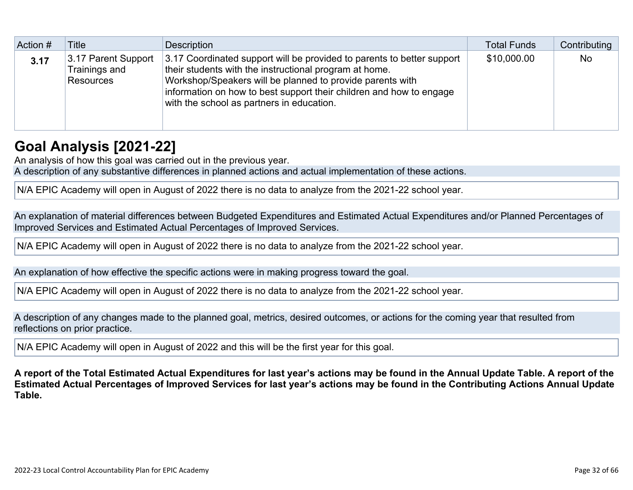| Action # | Title                                                    | Description                                                                                                                                                                                                                                                                                                       | <b>Total Funds</b> | Contributing |
|----------|----------------------------------------------------------|-------------------------------------------------------------------------------------------------------------------------------------------------------------------------------------------------------------------------------------------------------------------------------------------------------------------|--------------------|--------------|
| 3.17     | 3.17 Parent Support<br>Trainings and<br><b>Resources</b> | 3.17 Coordinated support will be provided to parents to better support<br>their students with the instructional program at home.<br>Workshop/Speakers will be planned to provide parents with<br>information on how to best support their children and how to engage<br>with the school as partners in education. | \$10,000.00        | <b>No</b>    |

## **[Goal Analysis \[2021-22\]](http://www.doc-tracking.com/screenshots/22LCAP/Instructions/22LCAPInstructions.htm#GoalAnalysis)**

An analysis of how this goal was carried out in the previous year.

A description of any substantive differences in planned actions and actual implementation of these actions.

N/A EPIC Academy will open in August of 2022 there is no data to analyze from the 2021-22 school year.

An explanation of material differences between Budgeted Expenditures and Estimated Actual Expenditures and/or Planned Percentages of Improved Services and Estimated Actual Percentages of Improved Services.

N/A EPIC Academy will open in August of 2022 there is no data to analyze from the 2021-22 school year.

An explanation of how effective the specific actions were in making progress toward the goal.

N/A EPIC Academy will open in August of 2022 there is no data to analyze from the 2021-22 school year.

A description of any changes made to the planned goal, metrics, desired outcomes, or actions for the coming year that resulted from reflections on prior practice.

N/A EPIC Academy will open in August of 2022 and this will be the first year for this goal.

**A report of the Total Estimated Actual Expenditures for last year's actions may be found in the Annual Update Table. A report of the Estimated Actual Percentages of Improved Services for last year's actions may be found in the Contributing Actions Annual Update Table.**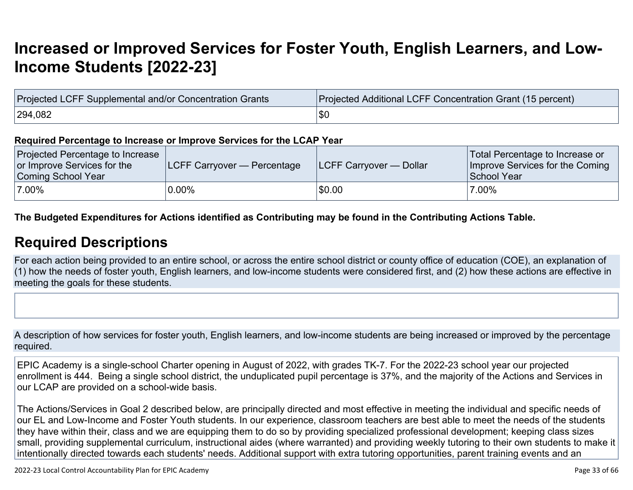# **[Increased or Improved Services for Foster Youth, English Learners, and Low-](http://www.doc-tracking.com/screenshots/22LCAP/Instructions/22LCAPInstructions.htm#IncreasedImprovedServices)[Income Students \[2022-23\]](http://www.doc-tracking.com/screenshots/22LCAP/Instructions/22LCAPInstructions.htm#IncreasedImprovedServices)**

| Projected LCFF Supplemental and/or Concentration Grants | Projected Additional LCFF Concentration Grant (15 percent) |  |  |
|---------------------------------------------------------|------------------------------------------------------------|--|--|
| 294,082                                                 | \$C                                                        |  |  |

#### **Required Percentage to Increase or Improve Services for the LCAP Year**

| Projected Percentage to Increase<br>or Improve Services for the<br>Coming School Year | <b>ILCFF Carryover — Percentage</b> | <b>ILCFF Carryover — Dollar</b> | Total Percentage to Increase or<br>Improve Services for the Coming<br>School Year |
|---------------------------------------------------------------------------------------|-------------------------------------|---------------------------------|-----------------------------------------------------------------------------------|
| 7.00%                                                                                 | $0.00\%$                            | \$0.00                          | 7.00%                                                                             |

**The Budgeted Expenditures for Actions identified as Contributing may be found in the Contributing Actions Table.**

## **[Required Descriptions](http://www.doc-tracking.com/screenshots/22LCAP/Instructions/22LCAPInstructions.htm#RequiredDescriptions)**

For each action being provided to an entire school, or across the entire school district or county office of education (COE), an explanation of (1) how the needs of foster youth, English learners, and low-income students were considered first, and (2) how these actions are effective in meeting the goals for these students.

A description of how services for foster youth, English learners, and low-income students are being increased or improved by the percentage required.

EPIC Academy is a single-school Charter opening in August of 2022, with grades TK-7. For the 2022-23 school year our projected enrollment is 444. Being a single school district, the unduplicated pupil percentage is 37%, and the majority of the Actions and Services in our LCAP are provided on a school-wide basis.

The Actions/Services in Goal 2 described below, are principally directed and most effective in meeting the individual and specific needs of our EL and Low-Income and Foster Youth students. In our experience, classroom teachers are best able to meet the needs of the students they have within their, class and we are equipping them to do so by providing specialized professional development; keeping class sizes small, providing supplemental curriculum, instructional aides (where warranted) and providing weekly tutoring to their own students to make it intentionally directed towards each students' needs. Additional support with extra tutoring opportunities, parent training events and an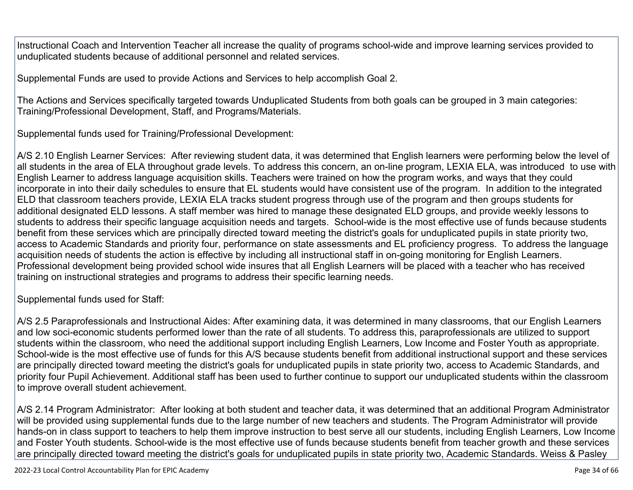Instructional Coach and Intervention Teacher all increase the quality of programs school-wide and improve learning services provided to unduplicated students because of additional personnel and related services.

Supplemental Funds are used to provide Actions and Services to help accomplish Goal 2.

The Actions and Services specifically targeted towards Unduplicated Students from both goals can be grouped in 3 main categories: Training/Professional Development, Staff, and Programs/Materials.

Supplemental funds used for Training/Professional Development:

A/S 2.10 English Learner Services: After reviewing student data, it was determined that English learners were performing below the level of all students in the area of ELA throughout grade levels. To address this concern, an on-line program, LEXIA ELA, was introduced to use with English Learner to address language acquisition skills. Teachers were trained on how the program works, and ways that they could incorporate in into their daily schedules to ensure that EL students would have consistent use of the program. In addition to the integrated ELD that classroom teachers provide, LEXIA ELA tracks student progress through use of the program and then groups students for additional designated ELD lessons. A staff member was hired to manage these designated ELD groups, and provide weekly lessons to students to address their specific language acquisition needs and targets. School-wide is the most effective use of funds because students benefit from these services which are principally directed toward meeting the district's goals for unduplicated pupils in state priority two, access to Academic Standards and priority four, performance on state assessments and EL proficiency progress. To address the language acquisition needs of students the action is effective by including all instructional staff in on-going monitoring for English Learners. Professional development being provided school wide insures that all English Learners will be placed with a teacher who has received training on instructional strategies and programs to address their specific learning needs.

Supplemental funds used for Staff:

A/S 2.5 Paraprofessionals and Instructional Aides: After examining data, it was determined in many classrooms, that our English Learners and low soci-economic students performed lower than the rate of all students. To address this, paraprofessionals are utilized to support students within the classroom, who need the additional support including English Learners, Low Income and Foster Youth as appropriate. School-wide is the most effective use of funds for this A/S because students benefit from additional instructional support and these services are principally directed toward meeting the district's goals for unduplicated pupils in state priority two, access to Academic Standards, and priority four Pupil Achievement. Additional staff has been used to further continue to support our unduplicated students within the classroom to improve overall student achievement.

A/S 2.14 Program Administrator: After looking at both student and teacher data, it was determined that an additional Program Administrator will be provided using supplemental funds due to the large number of new teachers and students. The Program Administrator will provide hands-on in class support to teachers to help them improve instruction to best serve all our students, including English Learners, Low Income and Foster Youth students. School-wide is the most effective use of funds because students benefit from teacher growth and these services are principally directed toward meeting the district's goals for unduplicated pupils in state priority two, Academic Standards. Weiss & Pasley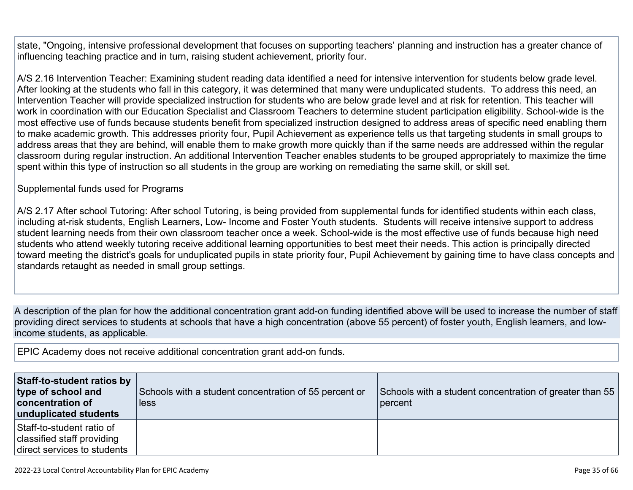state, "Ongoing, intensive professional development that focuses on supporting teachers' planning and instruction has a greater chance of influencing teaching practice and in turn, raising student achievement, priority four.

A/S 2.16 Intervention Teacher: Examining student reading data identified a need for intensive intervention for students below grade level. After looking at the students who fall in this category, it was determined that many were unduplicated students. To address this need, an Intervention Teacher will provide specialized instruction for students who are below grade level and at risk for retention. This teacher will work in coordination with our Education Specialist and Classroom Teachers to determine student participation eligibility. School-wide is the most effective use of funds because students benefit from specialized instruction designed to address areas of specific need enabling them to make academic growth. This addresses priority four, Pupil Achievement as experience tells us that targeting students in small groups to address areas that they are behind, will enable them to make growth more quickly than if the same needs are addressed within the regular classroom during regular instruction. An additional Intervention Teacher enables students to be grouped appropriately to maximize the time spent within this type of instruction so all students in the group are working on remediating the same skill, or skill set.

### Supplemental funds used for Programs

A/S 2.17 After school Tutoring: After school Tutoring, is being provided from supplemental funds for identified students within each class, including at-risk students, English Learners, Low- Income and Foster Youth students. Students will receive intensive support to address student learning needs from their own classroom teacher once a week. School-wide is the most effective use of funds because high need students who attend weekly tutoring receive additional learning opportunities to best meet their needs. This action is principally directed toward meeting the district's goals for unduplicated pupils in state priority four, Pupil Achievement by gaining time to have class concepts and standards retaught as needed in small group settings.

A description of the plan for how the additional concentration grant add-on funding identified above will be used to increase the number of staff providing direct services to students at schools that have a high concentration (above 55 percent) of foster youth, English learners, and lowincome students, as applicable.

EPIC Academy does not receive additional concentration grant add-on funds.

| Staff-to-student ratios by<br>type of school and<br>concentration of<br>unduplicated students | Schools with a student concentration of 55 percent or<br>less | Schools with a student concentration of greater than 55<br>percent |
|-----------------------------------------------------------------------------------------------|---------------------------------------------------------------|--------------------------------------------------------------------|
| Staff-to-student ratio of<br>classified staff providing<br>direct services to students        |                                                               |                                                                    |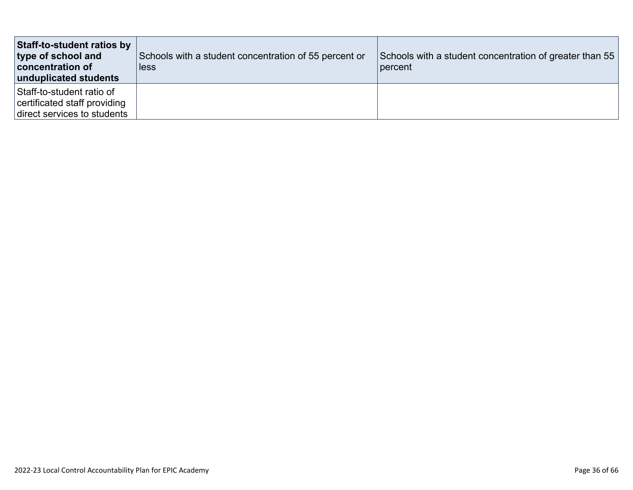| Staff-to-student ratios by<br>type of school and<br>concentration of<br>unduplicated students | Schools with a student concentration of 55 percent or<br>less | Schools with a student concentration of greater than 55<br>percent |
|-----------------------------------------------------------------------------------------------|---------------------------------------------------------------|--------------------------------------------------------------------|
| Staff-to-student ratio of<br>certificated staff providing<br>direct services to students      |                                                               |                                                                    |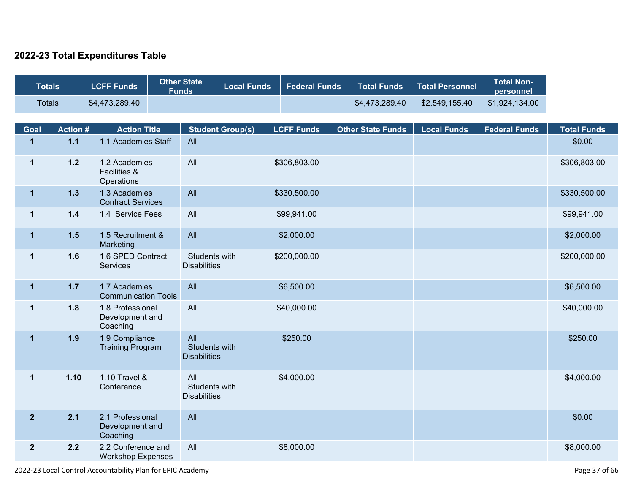### **2022-23 Total Expenditures Table**

| <b>Totals</b> | <b>LCFF Funds</b> | Other State<br><b>Funds</b> | Local Funds | ∣ Federal Funds ∣ | <b>Total Funds</b> | Total Personnel | Notal Non- \<br>personnel |
|---------------|-------------------|-----------------------------|-------------|-------------------|--------------------|-----------------|---------------------------|
| <b>Totals</b> | \$4,473,289.40    |                             |             |                   | \$4.473.289.40     | \$2,549,155.40  | \$1,924,134.00            |

| Goal           | <b>Action#</b> | <b>Action Title</b>                             | <b>Student Group(s)</b>                     | <b>LCFF Funds</b> | <b>Other State Funds</b> | <b>Local Funds</b> | <b>Federal Funds</b> | <b>Total Funds</b> |
|----------------|----------------|-------------------------------------------------|---------------------------------------------|-------------------|--------------------------|--------------------|----------------------|--------------------|
| $\mathbf{1}$   | $1.1$          | 1.1 Academies Staff                             | All                                         |                   |                          |                    |                      | \$0.00             |
| $\mathbf 1$    | $1.2$          | 1.2 Academies<br>Facilities &<br>Operations     | All                                         | \$306,803.00      |                          |                    |                      | \$306,803.00       |
| $\mathbf{1}$   | $1.3$          | 1.3 Academies<br><b>Contract Services</b>       | All                                         | \$330,500.00      |                          |                    |                      | \$330,500.00       |
| $\mathbf 1$    | $1.4$          | 1.4 Service Fees                                | All                                         | \$99,941.00       |                          |                    |                      | \$99,941.00        |
| $\mathbf{1}$   | $1.5$          | 1.5 Recruitment &<br>Marketing                  | All                                         | \$2,000.00        |                          |                    |                      | \$2,000.00         |
| $\mathbf{1}$   | 1.6            | 1.6 SPED Contract<br>Services                   | Students with<br><b>Disabilities</b>        | \$200,000.00      |                          |                    |                      | \$200,000.00       |
| $\mathbf{1}$   | $1.7$          | 1.7 Academies<br><b>Communication Tools</b>     | All                                         | \$6,500.00        |                          |                    |                      | \$6,500.00         |
| $\mathbf{1}$   | 1.8            | 1.8 Professional<br>Development and<br>Coaching | All                                         | \$40,000.00       |                          |                    |                      | \$40,000.00        |
| $\mathbf{1}$   | 1.9            | 1.9 Compliance<br><b>Training Program</b>       | All<br>Students with<br><b>Disabilities</b> | \$250.00          |                          |                    |                      | \$250.00           |
| $\mathbf 1$    | 1.10           | 1.10 Travel &<br>Conference                     | All<br>Students with<br><b>Disabilities</b> | \$4,000.00        |                          |                    |                      | \$4,000.00         |
| $\overline{2}$ | 2.1            | 2.1 Professional<br>Development and<br>Coaching | All                                         |                   |                          |                    |                      | \$0.00             |
| $\mathbf{2}$   | 2.2            | 2.2 Conference and<br><b>Workshop Expenses</b>  | All                                         | \$8,000.00        |                          |                    |                      | \$8,000.00         |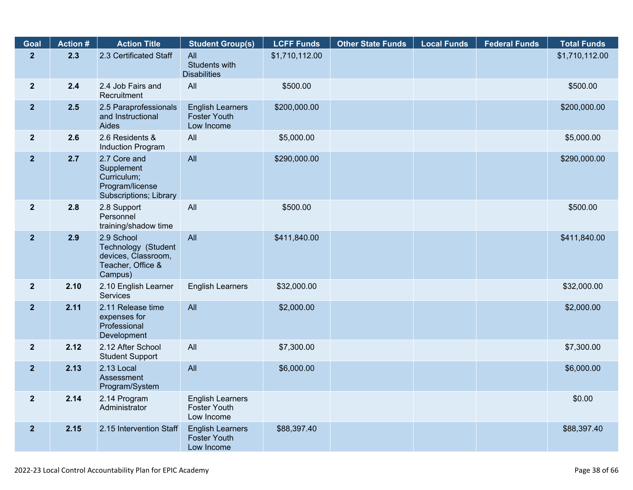| Goal           | <b>Action #</b> | <b>Action Title</b>                                                                      | <b>Student Group(s)</b>                                      | <b>LCFF Funds</b> | <b>Other State Funds</b> | <b>Local Funds</b> | <b>Federal Funds</b> | <b>Total Funds</b> |
|----------------|-----------------|------------------------------------------------------------------------------------------|--------------------------------------------------------------|-------------------|--------------------------|--------------------|----------------------|--------------------|
| $\overline{2}$ | 2.3             | 2.3 Certificated Staff                                                                   | All<br>Students with<br><b>Disabilities</b>                  | \$1,710,112.00    |                          |                    |                      | \$1,710,112.00     |
| $\overline{2}$ | 2.4             | 2.4 Job Fairs and<br>Recruitment                                                         | All                                                          | \$500.00          |                          |                    |                      | \$500.00           |
| 2 <sup>1</sup> | 2.5             | 2.5 Paraprofessionals<br>and Instructional<br>Aides                                      | <b>English Learners</b><br><b>Foster Youth</b><br>Low Income | \$200,000.00      |                          |                    |                      | \$200,000.00       |
| 2 <sup>2</sup> | 2.6             | 2.6 Residents &<br>Induction Program                                                     | All                                                          | \$5,000.00        |                          |                    |                      | \$5,000.00         |
| $\overline{2}$ | 2.7             | 2.7 Core and<br>Supplement<br>Curriculum;<br>Program/license<br>Subscriptions; Library   | All                                                          | \$290,000.00      |                          |                    |                      | \$290,000.00       |
| 2 <sup>1</sup> | 2.8             | 2.8 Support<br>Personnel<br>training/shadow time                                         | All                                                          | \$500.00          |                          |                    |                      | \$500.00           |
| 2 <sup>2</sup> | 2.9             | 2.9 School<br>Technology (Student<br>devices, Classroom,<br>Teacher, Office &<br>Campus) | All                                                          | \$411,840.00      |                          |                    |                      | \$411,840.00       |
| 2 <sup>1</sup> | 2.10            | 2.10 English Learner<br><b>Services</b>                                                  | <b>English Learners</b>                                      | \$32,000.00       |                          |                    |                      | \$32,000.00        |
| 2 <sup>1</sup> | 2.11            | 2.11 Release time<br>expenses for<br>Professional<br>Development                         | All                                                          | \$2,000.00        |                          |                    |                      | \$2,000.00         |
| $\overline{2}$ | 2.12            | 2.12 After School<br><b>Student Support</b>                                              | All                                                          | \$7,300.00        |                          |                    |                      | \$7,300.00         |
| 2 <sup>1</sup> | 2.13            | 2.13 Local<br>Assessment<br>Program/System                                               | All                                                          | \$6,000.00        |                          |                    |                      | \$6,000.00         |
| $\mathbf{2}$   | 2.14            | 2.14 Program<br>Administrator                                                            | <b>English Learners</b><br><b>Foster Youth</b><br>Low Income |                   |                          |                    |                      | \$0.00             |
| 2 <sup>1</sup> | 2.15            | 2.15 Intervention Staff                                                                  | <b>English Learners</b><br><b>Foster Youth</b><br>Low Income | \$88,397.40       |                          |                    |                      | \$88,397.40        |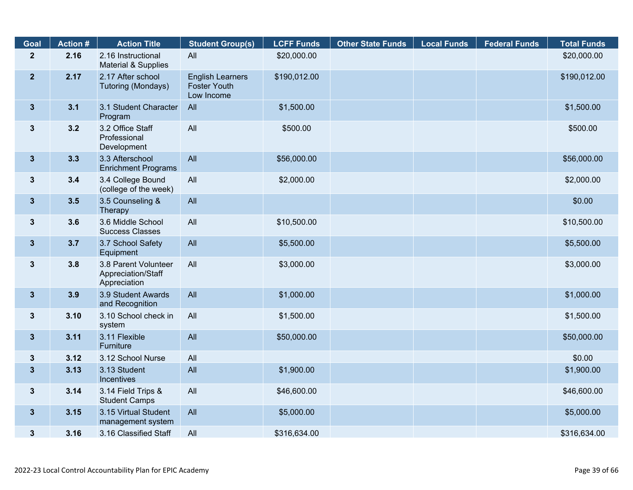| Goal           | <b>Action #</b> | <b>Action Title</b>                                        | <b>Student Group(s)</b>                                      | <b>LCFF Funds</b> | <b>Other State Funds</b> | <b>Local Funds</b> | <b>Federal Funds</b> | <b>Total Funds</b> |
|----------------|-----------------|------------------------------------------------------------|--------------------------------------------------------------|-------------------|--------------------------|--------------------|----------------------|--------------------|
| $\overline{2}$ | 2.16            | 2.16 Instructional<br>Material & Supplies                  | All                                                          | \$20,000.00       |                          |                    |                      | \$20,000.00        |
| $\overline{2}$ | 2.17            | 2.17 After school<br>Tutoring (Mondays)                    | <b>English Learners</b><br><b>Foster Youth</b><br>Low Income | \$190,012.00      |                          |                    |                      | \$190,012.00       |
| $\mathbf{3}$   | 3.1             | 3.1 Student Character<br>Program                           | All                                                          | \$1,500.00        |                          |                    |                      | \$1,500.00         |
| $\mathbf{3}$   | 3.2             | 3.2 Office Staff<br>Professional<br>Development            | All                                                          | \$500.00          |                          |                    |                      | \$500.00           |
| $3\phantom{a}$ | 3.3             | 3.3 Afterschool<br><b>Enrichment Programs</b>              | All                                                          | \$56,000.00       |                          |                    |                      | \$56,000.00        |
| $\mathbf{3}$   | 3.4             | 3.4 College Bound<br>(college of the week)                 | All                                                          | \$2,000.00        |                          |                    |                      | \$2,000.00         |
| $3\phantom{a}$ | 3.5             | 3.5 Counseling &<br>Therapy                                | All                                                          |                   |                          |                    |                      | \$0.00             |
| $\mathbf{3}$   | 3.6             | 3.6 Middle School<br><b>Success Classes</b>                | All                                                          | \$10,500.00       |                          |                    |                      | \$10,500.00        |
| $\mathbf{3}$   | 3.7             | 3.7 School Safety<br>Equipment                             | All                                                          | \$5,500.00        |                          |                    |                      | \$5,500.00         |
| $3\phantom{a}$ | 3.8             | 3.8 Parent Volunteer<br>Appreciation/Staff<br>Appreciation | All                                                          | \$3,000.00        |                          |                    |                      | \$3,000.00         |
| $3\phantom{a}$ | 3.9             | 3.9 Student Awards<br>and Recognition                      | All                                                          | \$1,000.00        |                          |                    |                      | \$1,000.00         |
| $\mathbf{3}$   | 3.10            | 3.10 School check in<br>system                             | All                                                          | \$1,500.00        |                          |                    |                      | \$1,500.00         |
| $\mathbf{3}$   | 3.11            | 3.11 Flexible<br>Furniture                                 | All                                                          | \$50,000.00       |                          |                    |                      | \$50,000.00        |
| $\mathbf{3}$   | 3.12            | 3.12 School Nurse                                          | All                                                          |                   |                          |                    |                      | \$0.00             |
| $\mathbf{3}$   | 3.13            | 3.13 Student<br>Incentives                                 | All                                                          | \$1,900.00        |                          |                    |                      | \$1,900.00         |
| $\mathbf{3}$   | 3.14            | 3.14 Field Trips &<br><b>Student Camps</b>                 | All                                                          | \$46,600.00       |                          |                    |                      | \$46,600.00        |
| $3\phantom{a}$ | 3.15            | 3.15 Virtual Student<br>management system                  | All                                                          | \$5,000.00        |                          |                    |                      | \$5,000.00         |
| $\mathbf{3}$   | 3.16            | 3.16 Classified Staff                                      | All                                                          | \$316,634.00      |                          |                    |                      | \$316,634.00       |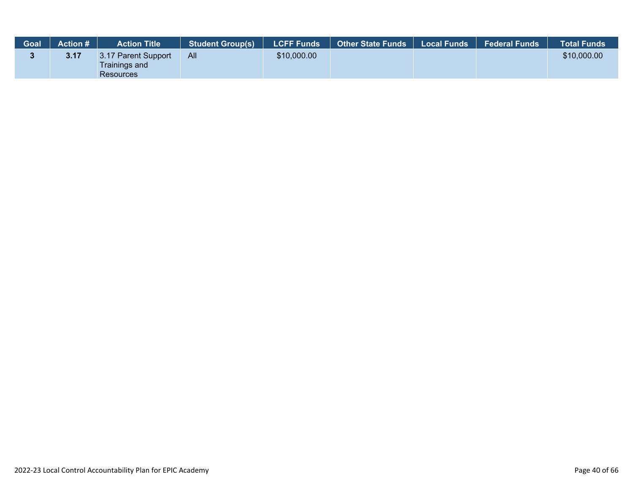| <b>Goal</b> | <b>Action #</b> | <b>Action Title</b>                                             | <b>Student Group(s)</b> | LCFF Funds  | <b>Other State Funds</b> | Local Funds | <b>Federal Funds</b> | ∣Total Funds <sup>∖</sup> |
|-------------|-----------------|-----------------------------------------------------------------|-------------------------|-------------|--------------------------|-------------|----------------------|---------------------------|
|             | 3.17            | 3.17 Parent Support<br><b>Trainings and</b><br><b>Resources</b> | All                     | \$10,000.00 |                          |             |                      | \$10,000.00               |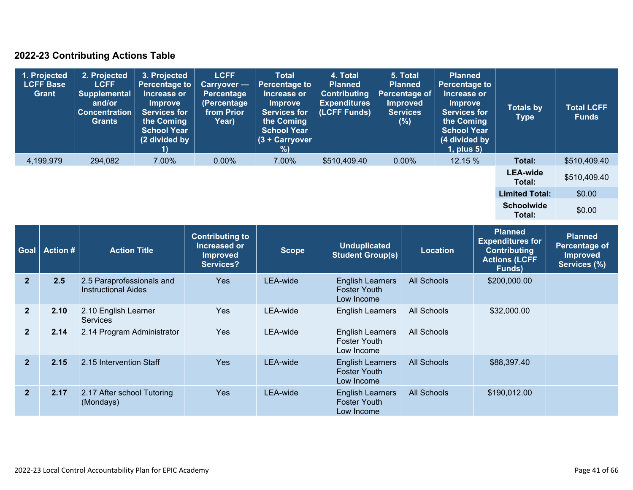## **2022-23 Contributing Actions Table**

| 1. Projected<br><b>LCFF Base</b><br>Grant | 2. Projected<br><b>LCFF</b><br><b>Supplemental</b><br>and/or<br><b>Concentration</b><br><b>Grants</b> | 3. Projected<br><b>Percentage to</b><br>Increase or<br><b>Improve</b><br><b>Services for</b><br>the Coming<br><b>School Year</b><br>(2 divided by | <b>LCFF</b><br><b>Carryover</b> —<br>Percentage<br>(Percentage<br>from Prior<br>Year) | <b>Total</b><br>Percentage to<br>Increase or<br><b>Improve</b><br><b>Services for</b><br>the Coming<br><b>School Year</b><br>$(3 +$ Carryover<br>%) | 4. Total<br><b>Planned</b><br><b>Contributing</b><br><b>Expenditures</b><br>(LCFF Funds) | 5. Total<br><b>Planned</b><br>Percentage of<br><b>Improved</b><br><b>Services</b><br>(%) | <b>Planned</b><br><b>Percentage to</b><br>Increase or<br><b>Improve</b><br><b>Services for</b><br>the Coming<br><b>School Year</b><br>(4 divided by<br>$1$ , plus $5$ ) | <b>Totals by</b><br><b>Type</b> | <b>Total LCFF</b><br><b>Funds</b> |
|-------------------------------------------|-------------------------------------------------------------------------------------------------------|---------------------------------------------------------------------------------------------------------------------------------------------------|---------------------------------------------------------------------------------------|-----------------------------------------------------------------------------------------------------------------------------------------------------|------------------------------------------------------------------------------------------|------------------------------------------------------------------------------------------|-------------------------------------------------------------------------------------------------------------------------------------------------------------------------|---------------------------------|-----------------------------------|
| 4,199,979                                 | 294,082                                                                                               | 7.00%                                                                                                                                             | $0.00\%$                                                                              | 7.00%                                                                                                                                               | \$510,409.40                                                                             | $0.00\%$                                                                                 | 12.15 %                                                                                                                                                                 | Total:                          | \$510,409.40                      |
|                                           |                                                                                                       |                                                                                                                                                   |                                                                                       |                                                                                                                                                     |                                                                                          |                                                                                          |                                                                                                                                                                         | <b>LEA-wide</b><br>Total:       | \$510,409.40                      |
|                                           |                                                                                                       |                                                                                                                                                   |                                                                                       |                                                                                                                                                     |                                                                                          |                                                                                          |                                                                                                                                                                         | <b>Limited Total:</b>           | \$0.00                            |
|                                           |                                                                                                       |                                                                                                                                                   |                                                                                       |                                                                                                                                                     |                                                                                          |                                                                                          |                                                                                                                                                                         | <b>Schoolwide</b><br>Total:     | \$0.00                            |

| <b>Goal</b>    | <b>Action #</b> | <b>Action Title</b>                                     | <b>Contributing to</b><br>Increased or<br><b>Improved</b><br>Services? | <b>Scope</b> | <b>Unduplicated</b><br><b>Student Group(s)</b>               | <b>Location</b>    | <b>Planned</b><br><b>Expenditures for</b><br><b>Contributing</b><br><b>Actions (LCFF</b><br>Funds) | <b>Planned</b><br><b>Percentage of</b><br><b>Improved</b><br>Services (%) |
|----------------|-----------------|---------------------------------------------------------|------------------------------------------------------------------------|--------------|--------------------------------------------------------------|--------------------|----------------------------------------------------------------------------------------------------|---------------------------------------------------------------------------|
| $\mathbf{2}$   | 2.5             | 2.5 Paraprofessionals and<br><b>Instructional Aides</b> | <b>Yes</b>                                                             | LEA-wide     | <b>English Learners</b><br><b>Foster Youth</b><br>Low Income | <b>All Schools</b> | \$200,000.00                                                                                       |                                                                           |
| $\overline{2}$ | 2.10            | 2.10 English Learner<br><b>Services</b>                 | <b>Yes</b>                                                             | LEA-wide     | <b>English Learners</b>                                      | All Schools        | \$32,000.00                                                                                        |                                                                           |
| $\mathbf{2}$   | 2.14            | 2.14 Program Administrator                              | <b>Yes</b>                                                             | LEA-wide     | <b>English Learners</b><br><b>Foster Youth</b><br>Low Income | All Schools        |                                                                                                    |                                                                           |
| $\overline{2}$ | 2.15            | 2.15 Intervention Staff                                 | <b>Yes</b>                                                             | LEA-wide     | <b>English Learners</b><br><b>Foster Youth</b><br>Low Income | <b>All Schools</b> | \$88,397.40                                                                                        |                                                                           |
| $\overline{2}$ | 2.17            | 2.17 After school Tutoring<br>(Mondays)                 | Yes                                                                    | LEA-wide     | <b>English Learners</b><br><b>Foster Youth</b><br>Low Income | <b>All Schools</b> | \$190,012.00                                                                                       |                                                                           |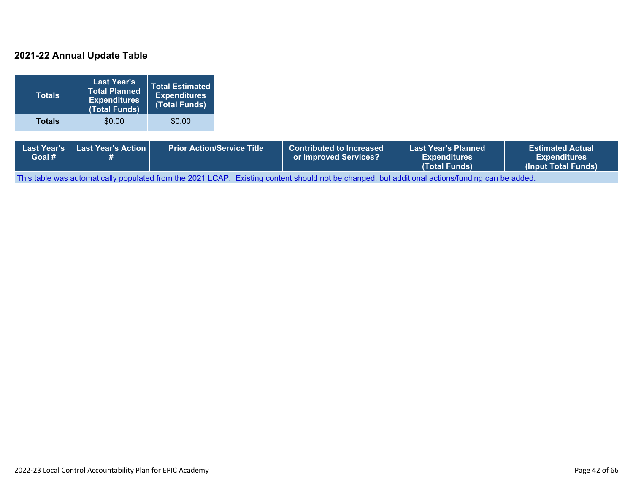### **2021-22 Annual Update Table**

| <b>Totals</b>                | <b>Last Year's</b><br><b>Total Planned</b><br><b>Expenditures</b><br>(Total Funds) | <b>Total Estimated</b><br><b>Expenditures</b><br>(Total Funds) |                                   |                                                          |                                                                    |                                                                       |
|------------------------------|------------------------------------------------------------------------------------|----------------------------------------------------------------|-----------------------------------|----------------------------------------------------------|--------------------------------------------------------------------|-----------------------------------------------------------------------|
| <b>Totals</b>                | \$0.00                                                                             | \$0.00                                                         |                                   |                                                          |                                                                    |                                                                       |
| <b>Last Year's</b><br>Goal # | Last Year's Action<br>#                                                            |                                                                | <b>Prior Action/Service Title</b> | <b>Contributed to Increased</b><br>or Improved Services? | <b>Last Year's Planned</b><br><b>Expenditures</b><br>(Total Funds) | <b>Estimated Actual</b><br><b>Expenditures</b><br>(Input Total Funds) |

This table was automatically populated from the 2021 LCAP. Existing content should not be changed, but additional actions/funding can be added.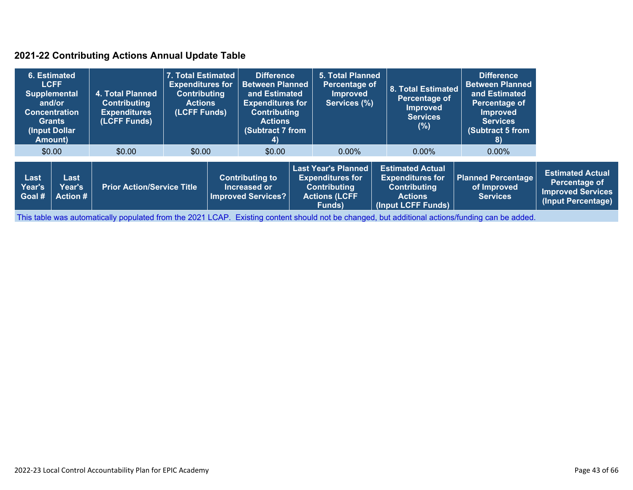### **2021-22 Contributing Actions Annual Update Table**

|                                        | 6. Estimated<br><b>LCFF</b><br><b>Supplemental</b><br>and/or<br><b>Concentration</b><br><b>Grants</b><br>(Input Dollar)<br>Amount) | 4. Total Planned<br><b>Contributing</b><br><b>Expenditures</b><br>(LCFF Funds) | 7. Total Estimated<br><b>Expenditures for</b><br><b>Contributing</b><br><b>Actions</b><br>(LCFF Funds) | <b>Difference</b><br><b>Between Planned</b><br>and Estimated<br><b>Expenditures for</b><br><b>Contributing</b><br><b>Actions</b><br>(Subtract 7 from<br>4) |  | <b>5. Total Planned</b><br>Percentage of<br><b>Improved</b><br>Services (%)                                    | <b>8. Total Estimated</b><br>Percentage of<br>Improved<br><b>Services</b><br>(%)                                  | <b>Difference</b><br><b>Between Planned</b><br>and Estimated<br>Percentage of<br><b>Improved</b><br><b>Services</b><br>(Subtract 5 from<br>8) |                                                                                            |
|----------------------------------------|------------------------------------------------------------------------------------------------------------------------------------|--------------------------------------------------------------------------------|--------------------------------------------------------------------------------------------------------|------------------------------------------------------------------------------------------------------------------------------------------------------------|--|----------------------------------------------------------------------------------------------------------------|-------------------------------------------------------------------------------------------------------------------|-----------------------------------------------------------------------------------------------------------------------------------------------|--------------------------------------------------------------------------------------------|
|                                        | \$0.00                                                                                                                             | \$0.00                                                                         | \$0.00                                                                                                 | \$0.00                                                                                                                                                     |  | $0.00\%$                                                                                                       | $0.00\%$                                                                                                          | $0.00\%$                                                                                                                                      |                                                                                            |
| Last<br>Year's<br>∣Goal # <sup>∣</sup> | Last<br><b>Year's</b><br><b>Action #</b>                                                                                           | <b>Prior Action/Service Title</b>                                              |                                                                                                        | <b>Contributing to</b><br>Increased or<br><b>Improved Services?</b>                                                                                        |  | <b>Last Year's Planned</b><br><b>Expenditures for</b><br><b>Contributing</b><br><b>Actions (LCFF</b><br>Funds) | <b>Estimated Actual</b><br><b>Expenditures for</b><br><b>Contributing</b><br><b>Actions</b><br>(Input LCFF Funds) | <b>Planned Percentage</b><br>of Improved<br><b>Services</b>                                                                                   | <b>Estimated Actual</b><br>Percentage of<br><b>Improved Services</b><br>(Input Percentage) |

This table was automatically populated from the 2021 LCAP. Existing content should not be changed, but additional actions/funding can be added.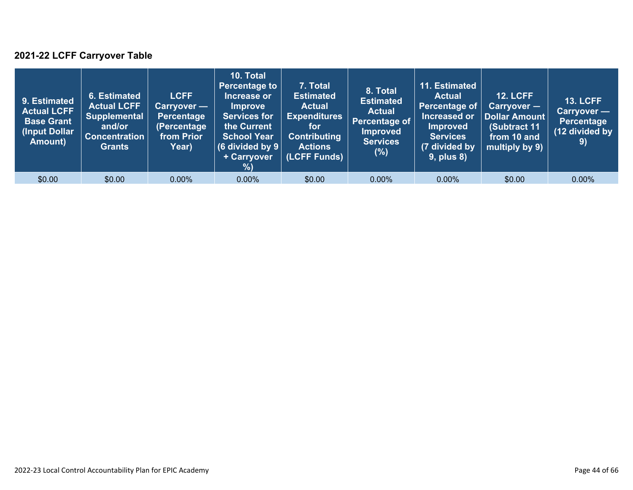## **2021-22 LCFF Carryover Table**

| 9. Estimated<br><b>Actual LCFF</b><br><b>Base Grant</b><br>(Input Dollar <sup>)</sup><br>Amount) | 6. Estimated<br><b>Actual LCFF</b><br><b>Supplemental</b><br>and/or<br><b>Concentration</b><br><b>Grants</b> | <b>LCFF</b><br>Carryover —<br><b>Percentage</b><br>(Percentage<br>from Prior<br>Year) | 10. Total<br><b>Percentage to</b><br>Increase or<br><b>Improve</b><br><b>Services for</b><br>the Current<br><b>School Year</b><br>(6 divided by $9$ $ $<br>+ Carryover<br>%) | 7. Total<br><b>Estimated</b><br><b>Actual</b><br><b>Expenditures</b><br>for<br><b>Contributing</b><br><b>Actions</b><br>(LCFF Funds) | 8. Total<br><b>Estimated</b><br><b>Actual</b><br>Percentage of<br>Improved<br><b>Services</b><br>(%) | 11. Estimated<br><b>Actual</b><br>Percentage of<br>Increased or<br><b>Improved</b><br><b>Services</b><br>(7 divided by<br>$9$ , plus $8$ ) | <b>12. LCFF</b><br>Carryover -<br>Dollar Amount<br>(Subtract 11<br>from 10 and<br>multiply by 9) | <b>13. LCFF</b><br><b>Carryover -</b><br>Percentage<br>(12 divided by<br>9) |
|--------------------------------------------------------------------------------------------------|--------------------------------------------------------------------------------------------------------------|---------------------------------------------------------------------------------------|------------------------------------------------------------------------------------------------------------------------------------------------------------------------------|--------------------------------------------------------------------------------------------------------------------------------------|------------------------------------------------------------------------------------------------------|--------------------------------------------------------------------------------------------------------------------------------------------|--------------------------------------------------------------------------------------------------|-----------------------------------------------------------------------------|
| \$0.00                                                                                           | \$0.00                                                                                                       | $0.00\%$                                                                              | $0.00\%$                                                                                                                                                                     | \$0.00                                                                                                                               | $0.00\%$                                                                                             | $0.00\%$                                                                                                                                   | \$0.00                                                                                           | $0.00\%$                                                                    |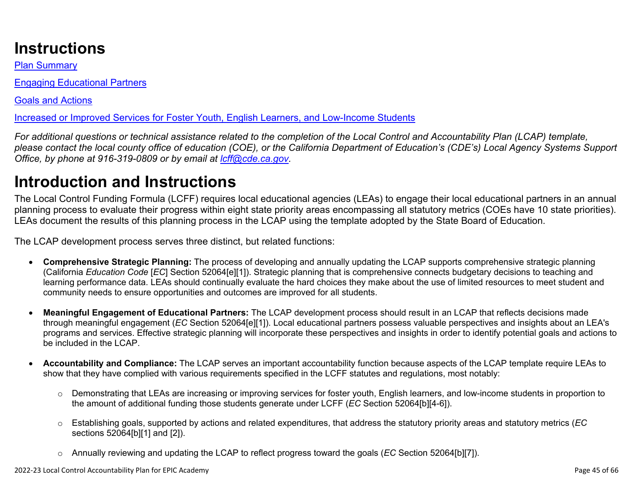# **Instructions**

Plan Summary

Engaging Educational Partners

Goals and Actions

Increased or Improved Services for Foster Youth, English Learners, and Low-Income Students

*For additional questions or technical assistance related to the completion of the Local Control and Accountability Plan (LCAP) template, please contact the local county office of education (COE), or the California Department of Education's (CDE's) Local Agency Systems Support Office, by phone at 916-319-0809 or by email at [lcff@cde.ca.gov](mailto:lcff@cde.ca.gov).*

# **Introduction and Instructions**

The Local Control Funding Formula (LCFF) requires local educational agencies (LEAs) to engage their local educational partners in an annual planning process to evaluate their progress within eight state priority areas encompassing all statutory metrics (COEs have 10 state priorities). LEAs document the results of this planning process in the LCAP using the template adopted by the State Board of Education.

The LCAP development process serves three distinct, but related functions:

- **Comprehensive Strategic Planning:** The process of developing and annually updating the LCAP supports comprehensive strategic planning (California *Education Code* [*EC*] Section 52064[e][1]). Strategic planning that is comprehensive connects budgetary decisions to teaching and learning performance data. LEAs should continually evaluate the hard choices they make about the use of limited resources to meet student and community needs to ensure opportunities and outcomes are improved for all students.
- **Meaningful Engagement of Educational Partners:** The LCAP development process should result in an LCAP that reflects decisions made through meaningful engagement (*EC* Section 52064[e][1]). Local educational partners possess valuable perspectives and insights about an LEA's programs and services. Effective strategic planning will incorporate these perspectives and insights in order to identify potential goals and actions to be included in the LCAP.
- **Accountability and Compliance:** The LCAP serves an important accountability function because aspects of the LCAP template require LEAs to show that they have complied with various requirements specified in the LCFF statutes and regulations, most notably:
	- o Demonstrating that LEAs are increasing or improving services for foster youth, English learners, and low-income students in proportion to the amount of additional funding those students generate under LCFF (*EC* Section 52064[b][4-6]).
	- o Establishing goals, supported by actions and related expenditures, that address the statutory priority areas and statutory metrics (*EC* sections 52064[b][1] and [2]).
	- o Annually reviewing and updating the LCAP to reflect progress toward the goals (*EC* Section 52064[b][7]).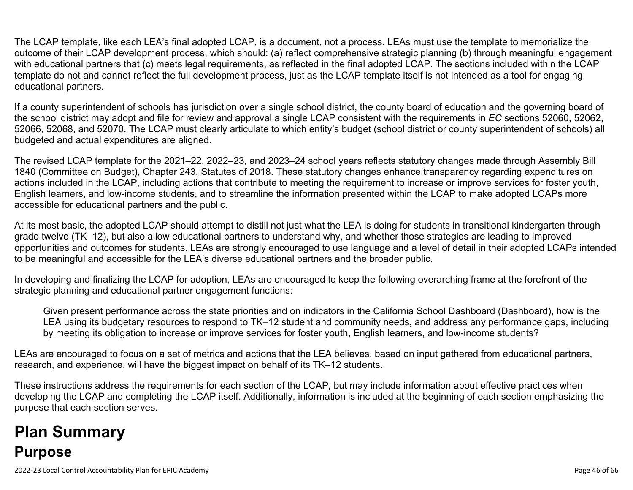The LCAP template, like each LEA's final adopted LCAP, is a document, not a process. LEAs must use the template to memorialize the outcome of their LCAP development process, which should: (a) reflect comprehensive strategic planning (b) through meaningful engagement with educational partners that (c) meets legal requirements, as reflected in the final adopted LCAP. The sections included within the LCAP template do not and cannot reflect the full development process, just as the LCAP template itself is not intended as a tool for engaging educational partners.

If a county superintendent of schools has jurisdiction over a single school district, the county board of education and the governing board of the school district may adopt and file for review and approval a single LCAP consistent with the requirements in *EC* sections 52060, 52062, 52066, 52068, and 52070. The LCAP must clearly articulate to which entity's budget (school district or county superintendent of schools) all budgeted and actual expenditures are aligned.

The revised LCAP template for the 2021–22, 2022–23, and 2023–24 school years reflects statutory changes made through Assembly Bill 1840 (Committee on Budget), Chapter 243, Statutes of 2018. These statutory changes enhance transparency regarding expenditures on actions included in the LCAP, including actions that contribute to meeting the requirement to increase or improve services for foster youth, English learners, and low-income students, and to streamline the information presented within the LCAP to make adopted LCAPs more accessible for educational partners and the public.

At its most basic, the adopted LCAP should attempt to distill not just what the LEA is doing for students in transitional kindergarten through grade twelve (TK–12), but also allow educational partners to understand why, and whether those strategies are leading to improved opportunities and outcomes for students. LEAs are strongly encouraged to use language and a level of detail in their adopted LCAPs intended to be meaningful and accessible for the LEA's diverse educational partners and the broader public.

In developing and finalizing the LCAP for adoption, LEAs are encouraged to keep the following overarching frame at the forefront of the strategic planning and educational partner engagement functions:

Given present performance across the state priorities and on indicators in the California School Dashboard (Dashboard), how is the LEA using its budgetary resources to respond to TK–12 student and community needs, and address any performance gaps, including by meeting its obligation to increase or improve services for foster youth, English learners, and low-income students?

LEAs are encouraged to focus on a set of metrics and actions that the LEA believes, based on input gathered from educational partners, research, and experience, will have the biggest impact on behalf of its TK–12 students.

These instructions address the requirements for each section of the LCAP, but may include information about effective practices when developing the LCAP and completing the LCAP itself. Additionally, information is included at the beginning of each section emphasizing the purpose that each section serves.

# **Plan Summary Purpose**

2022-23 Local Control Accountability Plan for EPIC Academy Page 46 of 66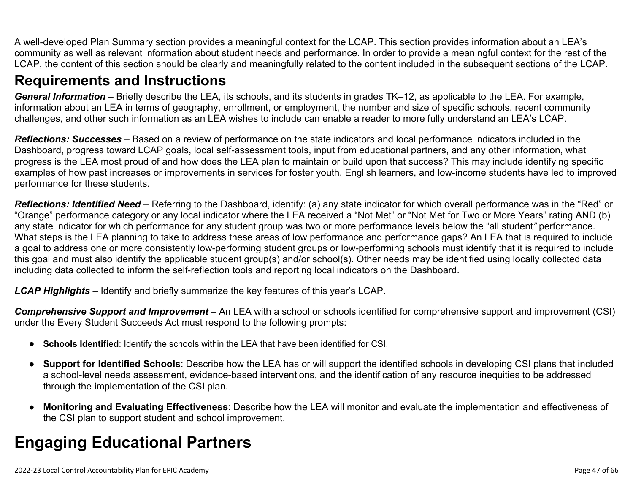A well-developed Plan Summary section provides a meaningful context for the LCAP. This section provides information about an LEA's community as well as relevant information about student needs and performance. In order to provide a meaningful context for the rest of the LCAP, the content of this section should be clearly and meaningfully related to the content included in the subsequent sections of the LCAP.

## **Requirements and Instructions**

*General Information* – Briefly describe the LEA, its schools, and its students in grades TK–12, as applicable to the LEA. For example, information about an LEA in terms of geography, enrollment, or employment, the number and size of specific schools, recent community challenges, and other such information as an LEA wishes to include can enable a reader to more fully understand an LEA's LCAP.

*Reflections: Successes* – Based on a review of performance on the state indicators and local performance indicators included in the Dashboard, progress toward LCAP goals, local self-assessment tools, input from educational partners, and any other information, what progress is the LEA most proud of and how does the LEA plan to maintain or build upon that success? This may include identifying specific examples of how past increases or improvements in services for foster youth, English learners, and low-income students have led to improved performance for these students.

*Reflections: Identified Need* – Referring to the Dashboard, identify: (a) any state indicator for which overall performance was in the "Red" or "Orange" performance category or any local indicator where the LEA received a "Not Met" or "Not Met for Two or More Years" rating AND (b) any state indicator for which performance for any student group was two or more performance levels below the "all student*"* performance. What steps is the LEA planning to take to address these areas of low performance and performance gaps? An LEA that is required to include a goal to address one or more consistently low-performing student groups or low-performing schools must identify that it is required to include this goal and must also identify the applicable student group(s) and/or school(s). Other needs may be identified using locally collected data including data collected to inform the self-reflection tools and reporting local indicators on the Dashboard.

*LCAP Highlights* – Identify and briefly summarize the key features of this year's LCAP.

*Comprehensive Support and Improvement* – An LEA with a school or schools identified for comprehensive support and improvement (CSI) under the Every Student Succeeds Act must respond to the following prompts:

- **Schools Identified**: Identify the schools within the LEA that have been identified for CSI.
- **Support for Identified Schools**: Describe how the LEA has or will support the identified schools in developing CSI plans that included a school-level needs assessment, evidence-based interventions, and the identification of any resource inequities to be addressed through the implementation of the CSI plan.
- **Monitoring and Evaluating Effectiveness**: Describe how the LEA will monitor and evaluate the implementation and effectiveness of the CSI plan to support student and school improvement.

# **Engaging Educational Partners**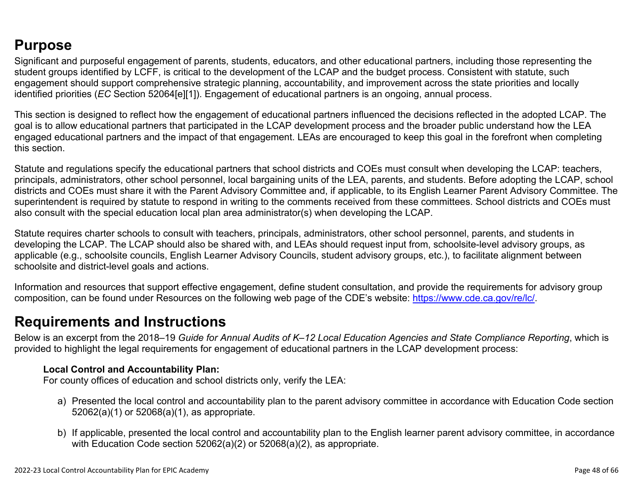## **Purpose**

Significant and purposeful engagement of parents, students, educators, and other educational partners, including those representing the student groups identified by LCFF, is critical to the development of the LCAP and the budget process. Consistent with statute, such engagement should support comprehensive strategic planning, accountability, and improvement across the state priorities and locally identified priorities (*EC* Section 52064[e][1]). Engagement of educational partners is an ongoing, annual process.

This section is designed to reflect how the engagement of educational partners influenced the decisions reflected in the adopted LCAP. The goal is to allow educational partners that participated in the LCAP development process and the broader public understand how the LEA engaged educational partners and the impact of that engagement. LEAs are encouraged to keep this goal in the forefront when completing this section.

Statute and regulations specify the educational partners that school districts and COEs must consult when developing the LCAP: teachers, principals, administrators, other school personnel, local bargaining units of the LEA, parents, and students. Before adopting the LCAP, school districts and COEs must share it with the Parent Advisory Committee and, if applicable, to its English Learner Parent Advisory Committee. The superintendent is required by statute to respond in writing to the comments received from these committees. School districts and COEs must also consult with the special education local plan area administrator(s) when developing the LCAP.

Statute requires charter schools to consult with teachers, principals, administrators, other school personnel, parents, and students in developing the LCAP. The LCAP should also be shared with, and LEAs should request input from, schoolsite-level advisory groups, as applicable (e.g., schoolsite councils, English Learner Advisory Councils, student advisory groups, etc.), to facilitate alignment between schoolsite and district-level goals and actions.

Information and resources that support effective engagement, define student consultation, and provide the requirements for advisory group composition, can be found under Resources on the following web page of the CDE's website: <https://www.cde.ca.gov/re/lc/>.

## **Requirements and Instructions**

Below is an excerpt from the 2018–19 *Guide for Annual Audits of K–12 Local Education Agencies and State Compliance Reporting*, which is provided to highlight the legal requirements for engagement of educational partners in the LCAP development process:

### **Local Control and Accountability Plan:**

For county offices of education and school districts only, verify the LEA:

- a) Presented the local control and accountability plan to the parent advisory committee in accordance with Education Code section 52062(a)(1) or 52068(a)(1), as appropriate.
- b) If applicable, presented the local control and accountability plan to the English learner parent advisory committee, in accordance with Education Code section 52062(a)(2) or 52068(a)(2), as appropriate.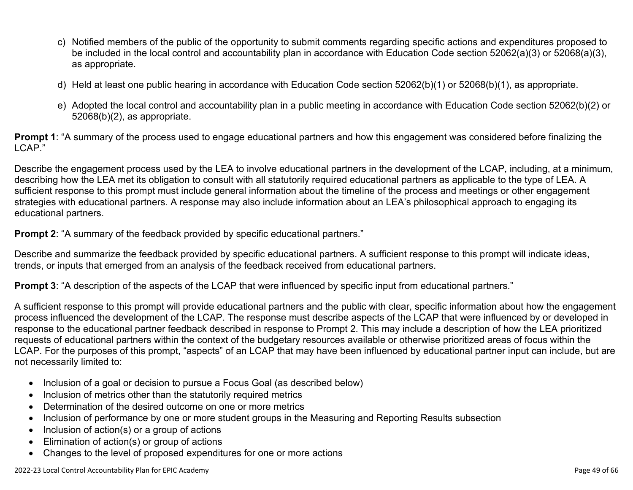- c) Notified members of the public of the opportunity to submit comments regarding specific actions and expenditures proposed to be included in the local control and accountability plan in accordance with Education Code section 52062(a)(3) or 52068(a)(3), as appropriate.
- d) Held at least one public hearing in accordance with Education Code section 52062(b)(1) or 52068(b)(1), as appropriate.
- e) Adopted the local control and accountability plan in a public meeting in accordance with Education Code section 52062(b)(2) or 52068(b)(2), as appropriate.

**Prompt 1**: "A summary of the process used to engage educational partners and how this engagement was considered before finalizing the LCAP."

Describe the engagement process used by the LEA to involve educational partners in the development of the LCAP, including, at a minimum, describing how the LEA met its obligation to consult with all statutorily required educational partners as applicable to the type of LEA. A sufficient response to this prompt must include general information about the timeline of the process and meetings or other engagement strategies with educational partners. A response may also include information about an LEA's philosophical approach to engaging its educational partners.

**Prompt 2:** "A summary of the feedback provided by specific educational partners."

Describe and summarize the feedback provided by specific educational partners. A sufficient response to this prompt will indicate ideas, trends, or inputs that emerged from an analysis of the feedback received from educational partners.

**Prompt 3**: "A description of the aspects of the LCAP that were influenced by specific input from educational partners."

A sufficient response to this prompt will provide educational partners and the public with clear, specific information about how the engagement process influenced the development of the LCAP. The response must describe aspects of the LCAP that were influenced by or developed in response to the educational partner feedback described in response to Prompt 2. This may include a description of how the LEA prioritized requests of educational partners within the context of the budgetary resources available or otherwise prioritized areas of focus within the LCAP. For the purposes of this prompt, "aspects" of an LCAP that may have been influenced by educational partner input can include, but are not necessarily limited to:

- Inclusion of a goal or decision to pursue a Focus Goal (as described below)
- Inclusion of metrics other than the statutorily required metrics
- Determination of the desired outcome on one or more metrics
- Inclusion of performance by one or more student groups in the Measuring and Reporting Results subsection
- Inclusion of action(s) or a group of actions
- Elimination of action(s) or group of actions
- Changes to the level of proposed expenditures for one or more actions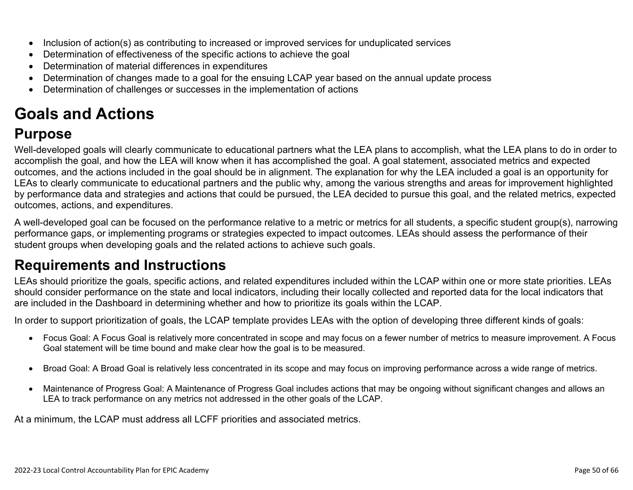- Inclusion of action(s) as contributing to increased or improved services for unduplicated services
- Determination of effectiveness of the specific actions to achieve the goal
- Determination of material differences in expenditures
- Determination of changes made to a goal for the ensuing LCAP year based on the annual update process
- Determination of challenges or successes in the implementation of actions

# **Goals and Actions**

## **Purpose**

Well-developed goals will clearly communicate to educational partners what the LEA plans to accomplish, what the LEA plans to do in order to accomplish the goal, and how the LEA will know when it has accomplished the goal. A goal statement, associated metrics and expected outcomes, and the actions included in the goal should be in alignment. The explanation for why the LEA included a goal is an opportunity for LEAs to clearly communicate to educational partners and the public why, among the various strengths and areas for improvement highlighted by performance data and strategies and actions that could be pursued, the LEA decided to pursue this goal, and the related metrics, expected outcomes, actions, and expenditures.

A well-developed goal can be focused on the performance relative to a metric or metrics for all students, a specific student group(s), narrowing performance gaps, or implementing programs or strategies expected to impact outcomes. LEAs should assess the performance of their student groups when developing goals and the related actions to achieve such goals.

## **Requirements and Instructions**

LEAs should prioritize the goals, specific actions, and related expenditures included within the LCAP within one or more state priorities. LEAs should consider performance on the state and local indicators, including their locally collected and reported data for the local indicators that are included in the Dashboard in determining whether and how to prioritize its goals within the LCAP.

In order to support prioritization of goals, the LCAP template provides LEAs with the option of developing three different kinds of goals:

- Focus Goal: A Focus Goal is relatively more concentrated in scope and may focus on a fewer number of metrics to measure improvement. A Focus Goal statement will be time bound and make clear how the goal is to be measured.
- Broad Goal: A Broad Goal is relatively less concentrated in its scope and may focus on improving performance across a wide range of metrics.
- Maintenance of Progress Goal: A Maintenance of Progress Goal includes actions that may be ongoing without significant changes and allows an LEA to track performance on any metrics not addressed in the other goals of the LCAP.

At a minimum, the LCAP must address all LCFF priorities and associated metrics.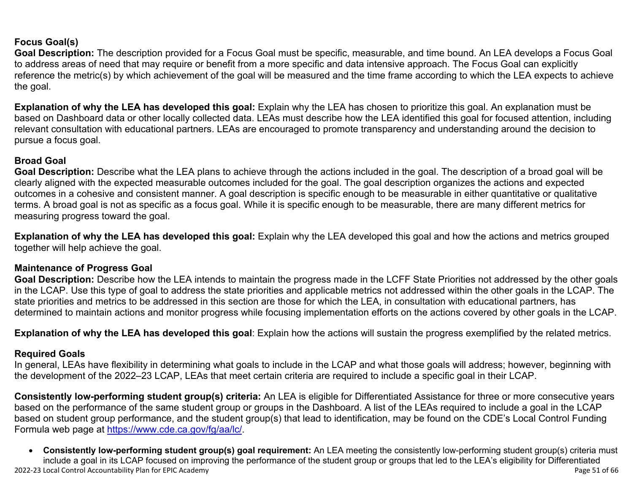### **Focus Goal(s)**

**Goal Description:** The description provided for a Focus Goal must be specific, measurable, and time bound. An LEA develops a Focus Goal to address areas of need that may require or benefit from a more specific and data intensive approach. The Focus Goal can explicitly reference the metric(s) by which achievement of the goal will be measured and the time frame according to which the LEA expects to achieve the goal.

**Explanation of why the LEA has developed this goal:** Explain why the LEA has chosen to prioritize this goal. An explanation must be based on Dashboard data or other locally collected data. LEAs must describe how the LEA identified this goal for focused attention, including relevant consultation with educational partners. LEAs are encouraged to promote transparency and understanding around the decision to pursue a focus goal.

### **Broad Goal**

Goal Description: Describe what the LEA plans to achieve through the actions included in the goal. The description of a broad goal will be clearly aligned with the expected measurable outcomes included for the goal. The goal description organizes the actions and expected outcomes in a cohesive and consistent manner. A goal description is specific enough to be measurable in either quantitative or qualitative terms. A broad goal is not as specific as a focus goal. While it is specific enough to be measurable, there are many different metrics for measuring progress toward the goal.

**Explanation of why the LEA has developed this goal:** Explain why the LEA developed this goal and how the actions and metrics grouped together will help achieve the goal.

### **Maintenance of Progress Goal**

**Goal Description:** Describe how the LEA intends to maintain the progress made in the LCFF State Priorities not addressed by the other goals in the LCAP. Use this type of goal to address the state priorities and applicable metrics not addressed within the other goals in the LCAP. The state priorities and metrics to be addressed in this section are those for which the LEA, in consultation with educational partners, has determined to maintain actions and monitor progress while focusing implementation efforts on the actions covered by other goals in the LCAP.

**Explanation of why the LEA has developed this goal**: Explain how the actions will sustain the progress exemplified by the related metrics.

### **Required Goals**

In general, LEAs have flexibility in determining what goals to include in the LCAP and what those goals will address; however, beginning with the development of the 2022–23 LCAP, LEAs that meet certain criteria are required to include a specific goal in their LCAP.

**Consistently low-performing student group(s) criteria:** An LEA is eligible for Differentiated Assistance for three or more consecutive years based on the performance of the same student group or groups in the Dashboard. A list of the LEAs required to include a goal in the LCAP based on student group performance, and the student group(s) that lead to identification, may be found on the CDE's Local Control Funding Formula web page at [https://www.cde.ca.gov/fg/aa/lc/.](https://www.cde.ca.gov/fg/aa/lc/)

2022-23 Local Control Accountability Plan for EPIC Academy Page 51 of 66 • **Consistently low-performing student group(s) goal requirement:** An LEA meeting the consistently low-performing student group(s) criteria must include a goal in its LCAP focused on improving the performance of the student group or groups that led to the LEA's eligibility for Differentiated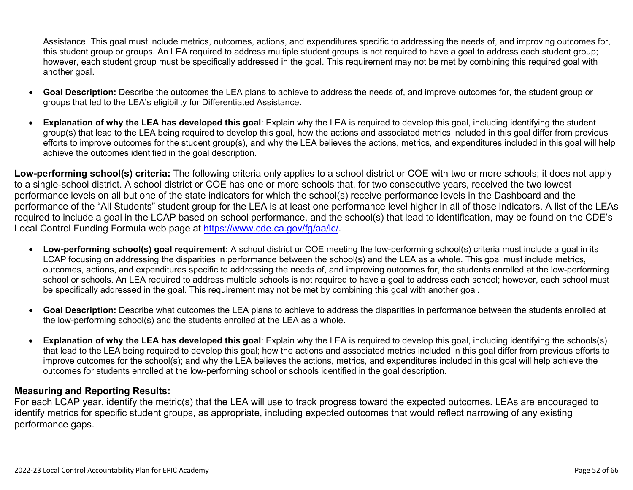Assistance. This goal must include metrics, outcomes, actions, and expenditures specific to addressing the needs of, and improving outcomes for, this student group or groups. An LEA required to address multiple student groups is not required to have a goal to address each student group; however, each student group must be specifically addressed in the goal. This requirement may not be met by combining this required goal with another goal.

- **Goal Description:** Describe the outcomes the LEA plans to achieve to address the needs of, and improve outcomes for, the student group or groups that led to the LEA's eligibility for Differentiated Assistance.
- **Explanation of why the LEA has developed this goal**: Explain why the LEA is required to develop this goal, including identifying the student group(s) that lead to the LEA being required to develop this goal, how the actions and associated metrics included in this goal differ from previous efforts to improve outcomes for the student group(s), and why the LEA believes the actions, metrics, and expenditures included in this goal will help achieve the outcomes identified in the goal description.

**Low-performing school(s) criteria:** The following criteria only applies to a school district or COE with two or more schools; it does not apply to a single-school district. A school district or COE has one or more schools that, for two consecutive years, received the two lowest performance levels on all but one of the state indicators for which the school(s) receive performance levels in the Dashboard and the performance of the "All Students" student group for the LEA is at least one performance level higher in all of those indicators. A list of the LEAs required to include a goal in the LCAP based on school performance, and the school(s) that lead to identification, may be found on the CDE's Local Control Funding Formula web page at [https://www.cde.ca.gov/fg/aa/lc/.](https://www.cde.ca.gov/fg/aa/lc/)

- **Low-performing school(s) goal requirement:** A school district or COE meeting the low-performing school(s) criteria must include a goal in its LCAP focusing on addressing the disparities in performance between the school(s) and the LEA as a whole. This goal must include metrics, outcomes, actions, and expenditures specific to addressing the needs of, and improving outcomes for, the students enrolled at the low-performing school or schools. An LEA required to address multiple schools is not required to have a goal to address each school; however, each school must be specifically addressed in the goal. This requirement may not be met by combining this goal with another goal.
- **Goal Description:** Describe what outcomes the LEA plans to achieve to address the disparities in performance between the students enrolled at the low-performing school(s) and the students enrolled at the LEA as a whole.
- **Explanation of why the LEA has developed this goal**: Explain why the LEA is required to develop this goal, including identifying the schools(s) that lead to the LEA being required to develop this goal; how the actions and associated metrics included in this goal differ from previous efforts to improve outcomes for the school(s); and why the LEA believes the actions, metrics, and expenditures included in this goal will help achieve the outcomes for students enrolled at the low-performing school or schools identified in the goal description.

### **Measuring and Reporting Results:**

For each LCAP year, identify the metric(s) that the LEA will use to track progress toward the expected outcomes. LEAs are encouraged to identify metrics for specific student groups, as appropriate, including expected outcomes that would reflect narrowing of any existing performance gaps.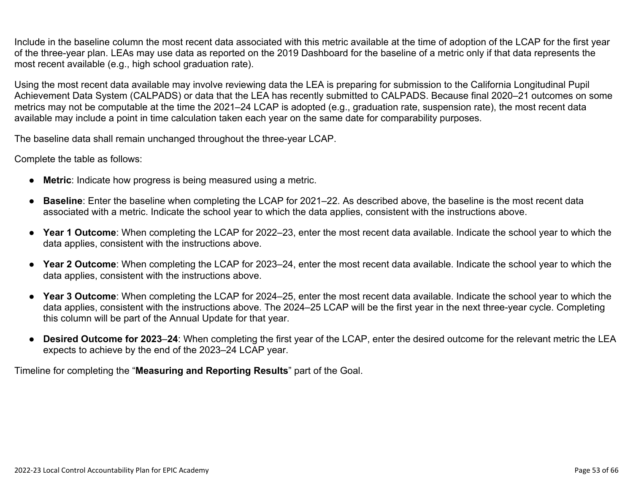Include in the baseline column the most recent data associated with this metric available at the time of adoption of the LCAP for the first year of the three-year plan. LEAs may use data as reported on the 2019 Dashboard for the baseline of a metric only if that data represents the most recent available (e.g., high school graduation rate).

Using the most recent data available may involve reviewing data the LEA is preparing for submission to the California Longitudinal Pupil Achievement Data System (CALPADS) or data that the LEA has recently submitted to CALPADS. Because final 2020–21 outcomes on some metrics may not be computable at the time the 2021–24 LCAP is adopted (e.g., graduation rate, suspension rate), the most recent data available may include a point in time calculation taken each year on the same date for comparability purposes.

The baseline data shall remain unchanged throughout the three-year LCAP.

Complete the table as follows:

- **Metric**: Indicate how progress is being measured using a metric.
- **Baseline**: Enter the baseline when completing the LCAP for 2021–22. As described above, the baseline is the most recent data associated with a metric. Indicate the school year to which the data applies, consistent with the instructions above.
- **Year 1 Outcome**: When completing the LCAP for 2022–23, enter the most recent data available. Indicate the school year to which the data applies, consistent with the instructions above.
- **Year 2 Outcome**: When completing the LCAP for 2023–24, enter the most recent data available. Indicate the school year to which the data applies, consistent with the instructions above.
- **Year 3 Outcome**: When completing the LCAP for 2024–25, enter the most recent data available. Indicate the school year to which the data applies, consistent with the instructions above. The 2024–25 LCAP will be the first year in the next three-year cycle. Completing this column will be part of the Annual Update for that year.
- **Desired Outcome for 2023**–**24**: When completing the first year of the LCAP, enter the desired outcome for the relevant metric the LEA expects to achieve by the end of the 2023–24 LCAP year.

Timeline for completing the "**Measuring and Reporting Results**" part of the Goal.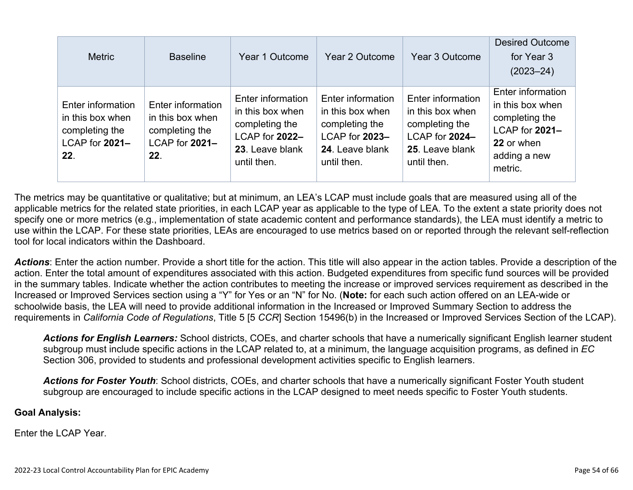| <b>Metric</b>                                                                    | <b>Baseline</b>                                                                  | Year 1 Outcome                                                                                              | Year 2 Outcome                                                                                              | Year 3 Outcome                                                                                              | <b>Desired Outcome</b><br>for Year 3<br>$(2023 - 24)$                                                              |
|----------------------------------------------------------------------------------|----------------------------------------------------------------------------------|-------------------------------------------------------------------------------------------------------------|-------------------------------------------------------------------------------------------------------------|-------------------------------------------------------------------------------------------------------------|--------------------------------------------------------------------------------------------------------------------|
| Enter information<br>in this box when<br>completing the<br>LCAP for 2021-<br>22. | Enter information<br>in this box when<br>completing the<br>LCAP for 2021-<br>22. | Enter information<br>in this box when<br>completing the<br>LCAP for 2022-<br>23. Leave blank<br>until then. | Enter information<br>in this box when<br>completing the<br>LCAP for 2023-<br>24. Leave blank<br>until then. | Enter information<br>in this box when<br>completing the<br>LCAP for 2024-<br>25. Leave blank<br>until then. | Enter information<br>in this box when<br>completing the<br>LCAP for 2021-<br>22 or when<br>adding a new<br>metric. |

The metrics may be quantitative or qualitative; but at minimum, an LEA's LCAP must include goals that are measured using all of the applicable metrics for the related state priorities, in each LCAP year as applicable to the type of LEA. To the extent a state priority does not specify one or more metrics (e.g., implementation of state academic content and performance standards), the LEA must identify a metric to use within the LCAP. For these state priorities, LEAs are encouraged to use metrics based on or reported through the relevant self-reflection tool for local indicators within the Dashboard.

*Actions*: Enter the action number. Provide a short title for the action. This title will also appear in the action tables. Provide a description of the action. Enter the total amount of expenditures associated with this action. Budgeted expenditures from specific fund sources will be provided in the summary tables. Indicate whether the action contributes to meeting the increase or improved services requirement as described in the Increased or Improved Services section using a "Y" for Yes or an "N" for No. (**Note:** for each such action offered on an LEA-wide or schoolwide basis, the LEA will need to provide additional information in the Increased or Improved Summary Section to address the requirements in *California Code of Regulations*, Title 5 [5 *CCR*] Section 15496(b) in the Increased or Improved Services Section of the LCAP).

*Actions for English Learners:* School districts, COEs, and charter schools that have a numerically significant English learner student subgroup must include specific actions in the LCAP related to, at a minimum, the language acquisition programs, as defined in *EC* Section 306, provided to students and professional development activities specific to English learners.

*Actions for Foster Youth*: School districts, COEs, and charter schools that have a numerically significant Foster Youth student subgroup are encouraged to include specific actions in the LCAP designed to meet needs specific to Foster Youth students.

### **Goal Analysis:**

Enter the LCAP Year.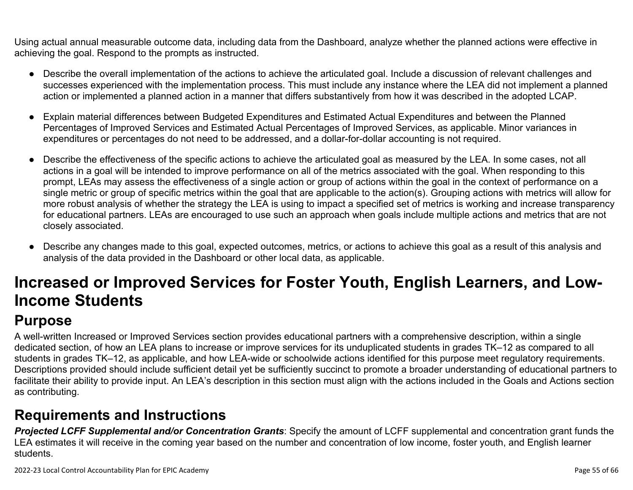Using actual annual measurable outcome data, including data from the Dashboard, analyze whether the planned actions were effective in achieving the goal. Respond to the prompts as instructed.

- Describe the overall implementation of the actions to achieve the articulated goal. Include a discussion of relevant challenges and successes experienced with the implementation process. This must include any instance where the LEA did not implement a planned action or implemented a planned action in a manner that differs substantively from how it was described in the adopted LCAP.
- Explain material differences between Budgeted Expenditures and Estimated Actual Expenditures and between the Planned Percentages of Improved Services and Estimated Actual Percentages of Improved Services, as applicable. Minor variances in expenditures or percentages do not need to be addressed, and a dollar-for-dollar accounting is not required.
- Describe the effectiveness of the specific actions to achieve the articulated goal as measured by the LEA. In some cases, not all actions in a goal will be intended to improve performance on all of the metrics associated with the goal. When responding to this prompt, LEAs may assess the effectiveness of a single action or group of actions within the goal in the context of performance on a single metric or group of specific metrics within the goal that are applicable to the action(s). Grouping actions with metrics will allow for more robust analysis of whether the strategy the LEA is using to impact a specified set of metrics is working and increase transparency for educational partners. LEAs are encouraged to use such an approach when goals include multiple actions and metrics that are not closely associated.
- Describe any changes made to this goal, expected outcomes, metrics, or actions to achieve this goal as a result of this analysis and analysis of the data provided in the Dashboard or other local data, as applicable.

# **Increased or Improved Services for Foster Youth, English Learners, and Low-Income Students**

# **Purpose**

A well-written Increased or Improved Services section provides educational partners with a comprehensive description, within a single dedicated section, of how an LEA plans to increase or improve services for its unduplicated students in grades TK–12 as compared to all students in grades TK–12, as applicable, and how LEA-wide or schoolwide actions identified for this purpose meet regulatory requirements. Descriptions provided should include sufficient detail yet be sufficiently succinct to promote a broader understanding of educational partners to facilitate their ability to provide input. An LEA's description in this section must align with the actions included in the Goals and Actions section as contributing.

## **Requirements and Instructions**

*Projected LCFF Supplemental and/or Concentration Grants*: Specify the amount of LCFF supplemental and concentration grant funds the LEA estimates it will receive in the coming year based on the number and concentration of low income, foster youth, and English learner students.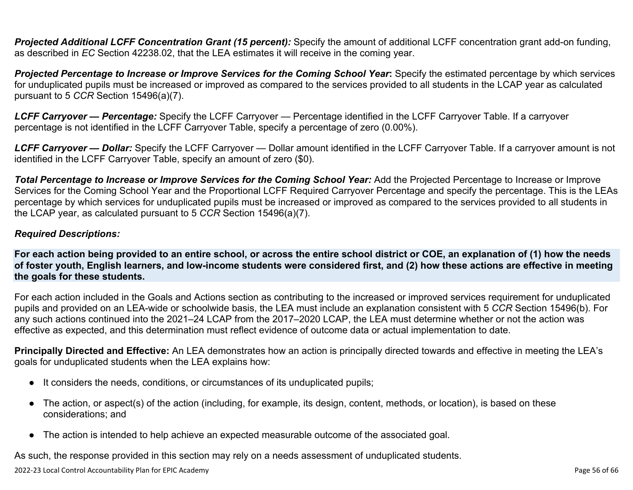**Projected Additional LCFF Concentration Grant (15 percent):** Specify the amount of additional LCFF concentration grant add-on funding, as described in *EC* Section 42238.02, that the LEA estimates it will receive in the coming year.

*Projected Percentage to Increase or Improve Services for the Coming School Year***:** Specify the estimated percentage by which services for unduplicated pupils must be increased or improved as compared to the services provided to all students in the LCAP year as calculated pursuant to 5 *CCR* Section 15496(a)(7).

*LCFF Carryover — Percentage:* Specify the LCFF Carryover — Percentage identified in the LCFF Carryover Table. If a carryover percentage is not identified in the LCFF Carryover Table, specify a percentage of zero (0.00%).

*LCFF Carryover — Dollar:* Specify the LCFF Carryover — Dollar amount identified in the LCFF Carryover Table. If a carryover amount is not identified in the LCFF Carryover Table, specify an amount of zero (\$0).

**Total Percentage to Increase or Improve Services for the Coming School Year:** Add the Projected Percentage to Increase or Improve Services for the Coming School Year and the Proportional LCFF Required Carryover Percentage and specify the percentage. This is the LEAs percentage by which services for unduplicated pupils must be increased or improved as compared to the services provided to all students in the LCAP year, as calculated pursuant to 5 *CCR* Section 15496(a)(7).

### *Required Descriptions:*

**For each action being provided to an entire school, or across the entire school district or COE, an explanation of (1) how the needs of foster youth, English learners, and low-income students were considered first, and (2) how these actions are effective in meeting the goals for these students.**

For each action included in the Goals and Actions section as contributing to the increased or improved services requirement for unduplicated pupils and provided on an LEA-wide or schoolwide basis, the LEA must include an explanation consistent with 5 *CCR* Section 15496(b). For any such actions continued into the 2021–24 LCAP from the 2017–2020 LCAP, the LEA must determine whether or not the action was effective as expected, and this determination must reflect evidence of outcome data or actual implementation to date.

**Principally Directed and Effective:** An LEA demonstrates how an action is principally directed towards and effective in meeting the LEA's goals for unduplicated students when the LEA explains how:

- It considers the needs, conditions, or circumstances of its unduplicated pupils;
- The action, or aspect(s) of the action (including, for example, its design, content, methods, or location), is based on these considerations; and
- The action is intended to help achieve an expected measurable outcome of the associated goal.

As such, the response provided in this section may rely on a needs assessment of unduplicated students.

2022-23 Local Control Accountability Plan for EPIC Academy Page 56 of 66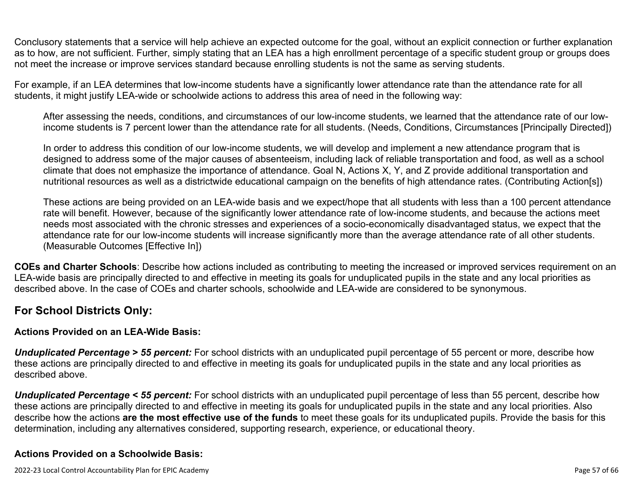Conclusory statements that a service will help achieve an expected outcome for the goal, without an explicit connection or further explanation as to how, are not sufficient. Further, simply stating that an LEA has a high enrollment percentage of a specific student group or groups does not meet the increase or improve services standard because enrolling students is not the same as serving students.

For example, if an LEA determines that low-income students have a significantly lower attendance rate than the attendance rate for all students, it might justify LEA-wide or schoolwide actions to address this area of need in the following way:

After assessing the needs, conditions, and circumstances of our low-income students, we learned that the attendance rate of our lowincome students is 7 percent lower than the attendance rate for all students. (Needs, Conditions, Circumstances [Principally Directed])

In order to address this condition of our low-income students, we will develop and implement a new attendance program that is designed to address some of the major causes of absenteeism, including lack of reliable transportation and food, as well as a school climate that does not emphasize the importance of attendance. Goal N, Actions X, Y, and Z provide additional transportation and nutritional resources as well as a districtwide educational campaign on the benefits of high attendance rates. (Contributing Action[s])

These actions are being provided on an LEA-wide basis and we expect/hope that all students with less than a 100 percent attendance rate will benefit. However, because of the significantly lower attendance rate of low-income students, and because the actions meet needs most associated with the chronic stresses and experiences of a socio-economically disadvantaged status, we expect that the attendance rate for our low-income students will increase significantly more than the average attendance rate of all other students. (Measurable Outcomes [Effective In])

**COEs and Charter Schools**: Describe how actions included as contributing to meeting the increased or improved services requirement on an LEA-wide basis are principally directed to and effective in meeting its goals for unduplicated pupils in the state and any local priorities as described above. In the case of COEs and charter schools, schoolwide and LEA-wide are considered to be synonymous.

### **For School Districts Only:**

### **Actions Provided on an LEA-Wide Basis:**

*Unduplicated Percentage > 55 percent:* For school districts with an unduplicated pupil percentage of 55 percent or more, describe how these actions are principally directed to and effective in meeting its goals for unduplicated pupils in the state and any local priorities as described above.

*Unduplicated Percentage < 55 percent:* For school districts with an unduplicated pupil percentage of less than 55 percent, describe how these actions are principally directed to and effective in meeting its goals for unduplicated pupils in the state and any local priorities. Also describe how the actions **are the most effective use of the funds** to meet these goals for its unduplicated pupils. Provide the basis for this determination, including any alternatives considered, supporting research, experience, or educational theory.

### **Actions Provided on a Schoolwide Basis:**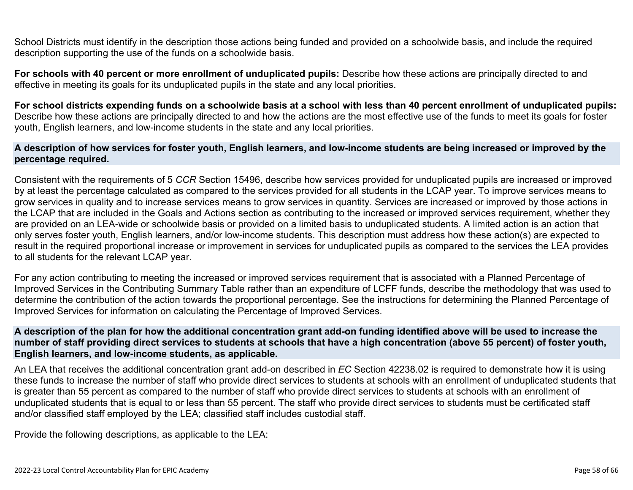School Districts must identify in the description those actions being funded and provided on a schoolwide basis, and include the required description supporting the use of the funds on a schoolwide basis.

**For schools with 40 percent or more enrollment of unduplicated pupils:** Describe how these actions are principally directed to and effective in meeting its goals for its unduplicated pupils in the state and any local priorities.

**For school districts expending funds on a schoolwide basis at a school with less than 40 percent enrollment of unduplicated pupils:** Describe how these actions are principally directed to and how the actions are the most effective use of the funds to meet its goals for foster youth, English learners, and low-income students in the state and any local priorities.

### **A description of how services for foster youth, English learners, and low-income students are being increased or improved by the percentage required.**

Consistent with the requirements of 5 *CCR* Section 15496, describe how services provided for unduplicated pupils are increased or improved by at least the percentage calculated as compared to the services provided for all students in the LCAP year. To improve services means to grow services in quality and to increase services means to grow services in quantity. Services are increased or improved by those actions in the LCAP that are included in the Goals and Actions section as contributing to the increased or improved services requirement, whether they are provided on an LEA-wide or schoolwide basis or provided on a limited basis to unduplicated students. A limited action is an action that only serves foster youth, English learners, and/or low-income students. This description must address how these action(s) are expected to result in the required proportional increase or improvement in services for unduplicated pupils as compared to the services the LEA provides to all students for the relevant LCAP year.

For any action contributing to meeting the increased or improved services requirement that is associated with a Planned Percentage of Improved Services in the Contributing Summary Table rather than an expenditure of LCFF funds, describe the methodology that was used to determine the contribution of the action towards the proportional percentage. See the instructions for determining the Planned Percentage of Improved Services for information on calculating the Percentage of Improved Services.

### **A description of the plan for how the additional concentration grant add-on funding identified above will be used to increase the number of staff providing direct services to students at schools that have a high concentration (above 55 percent) of foster youth, English learners, and low-income students, as applicable.**

An LEA that receives the additional concentration grant add-on described in *EC* Section 42238.02 is required to demonstrate how it is using these funds to increase the number of staff who provide direct services to students at schools with an enrollment of unduplicated students that is greater than 55 percent as compared to the number of staff who provide direct services to students at schools with an enrollment of unduplicated students that is equal to or less than 55 percent. The staff who provide direct services to students must be certificated staff and/or classified staff employed by the LEA; classified staff includes custodial staff.

Provide the following descriptions, as applicable to the LEA: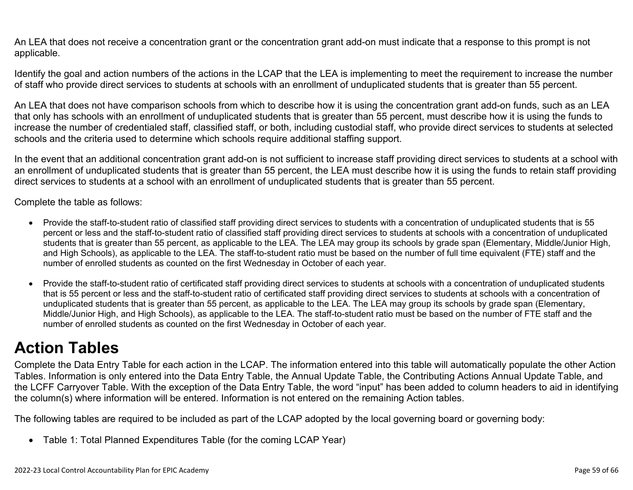An LEA that does not receive a concentration grant or the concentration grant add-on must indicate that a response to this prompt is not applicable.

Identify the goal and action numbers of the actions in the LCAP that the LEA is implementing to meet the requirement to increase the number of staff who provide direct services to students at schools with an enrollment of unduplicated students that is greater than 55 percent.

An LEA that does not have comparison schools from which to describe how it is using the concentration grant add-on funds, such as an LEA that only has schools with an enrollment of unduplicated students that is greater than 55 percent, must describe how it is using the funds to increase the number of credentialed staff, classified staff, or both, including custodial staff, who provide direct services to students at selected schools and the criteria used to determine which schools require additional staffing support.

In the event that an additional concentration grant add-on is not sufficient to increase staff providing direct services to students at a school with an enrollment of unduplicated students that is greater than 55 percent, the LEA must describe how it is using the funds to retain staff providing direct services to students at a school with an enrollment of unduplicated students that is greater than 55 percent.

Complete the table as follows:

- Provide the staff-to-student ratio of classified staff providing direct services to students with a concentration of unduplicated students that is 55 percent or less and the staff-to-student ratio of classified staff providing direct services to students at schools with a concentration of unduplicated students that is greater than 55 percent, as applicable to the LEA. The LEA may group its schools by grade span (Elementary, Middle/Junior High, and High Schools), as applicable to the LEA. The staff-to-student ratio must be based on the number of full time equivalent (FTE) staff and the number of enrolled students as counted on the first Wednesday in October of each year.
- Provide the staff-to-student ratio of certificated staff providing direct services to students at schools with a concentration of unduplicated students that is 55 percent or less and the staff-to-student ratio of certificated staff providing direct services to students at schools with a concentration of unduplicated students that is greater than 55 percent, as applicable to the LEA. The LEA may group its schools by grade span (Elementary, Middle/Junior High, and High Schools), as applicable to the LEA. The staff-to-student ratio must be based on the number of FTE staff and the number of enrolled students as counted on the first Wednesday in October of each year.

# **Action Tables**

Complete the Data Entry Table for each action in the LCAP. The information entered into this table will automatically populate the other Action Tables. Information is only entered into the Data Entry Table, the Annual Update Table, the Contributing Actions Annual Update Table, and the LCFF Carryover Table. With the exception of the Data Entry Table, the word "input" has been added to column headers to aid in identifying the column(s) where information will be entered. Information is not entered on the remaining Action tables.

The following tables are required to be included as part of the LCAP adopted by the local governing board or governing body:

• Table 1: Total Planned Expenditures Table (for the coming LCAP Year)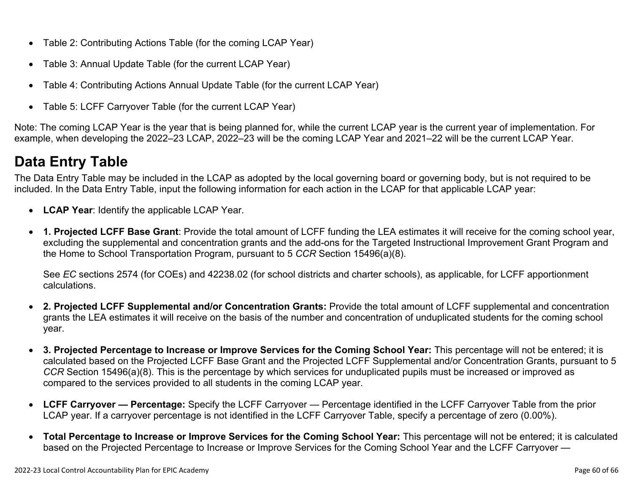- Table 2: Contributing Actions Table (for the coming LCAP Year)
- Table 3: Annual Update Table (for the current LCAP Year)
- Table 4: Contributing Actions Annual Update Table (for the current LCAP Year)
- Table 5: LCFF Carryover Table (for the current LCAP Year)

Note: The coming LCAP Year is the year that is being planned for, while the current LCAP year is the current year of implementation. For example, when developing the 2022–23 LCAP, 2022–23 will be the coming LCAP Year and 2021–22 will be the current LCAP Year.

# **Data Entry Table**

The Data Entry Table may be included in the LCAP as adopted by the local governing board or governing body, but is not required to be included. In the Data Entry Table, input the following information for each action in the LCAP for that applicable LCAP year:

- **LCAP Year**: Identify the applicable LCAP Year.
- **1. Projected LCFF Base Grant**: Provide the total amount of LCFF funding the LEA estimates it will receive for the coming school year, excluding the supplemental and concentration grants and the add-ons for the Targeted Instructional Improvement Grant Program and the Home to School Transportation Program, pursuant to 5 *CCR* Section 15496(a)(8).

See *EC* sections 2574 (for COEs) and 42238.02 (for school districts and charter schools), as applicable, for LCFF apportionment calculations.

- **2. Projected LCFF Supplemental and/or Concentration Grants:** Provide the total amount of LCFF supplemental and concentration grants the LEA estimates it will receive on the basis of the number and concentration of unduplicated students for the coming school year.
- **3. Projected Percentage to Increase or Improve Services for the Coming School Year:** This percentage will not be entered; it is calculated based on the Projected LCFF Base Grant and the Projected LCFF Supplemental and/or Concentration Grants, pursuant to 5 *CCR* Section 15496(a)(8). This is the percentage by which services for unduplicated pupils must be increased or improved as compared to the services provided to all students in the coming LCAP year.
- **LCFF Carryover Percentage:** Specify the LCFF Carryover Percentage identified in the LCFF Carryover Table from the prior LCAP year. If a carryover percentage is not identified in the LCFF Carryover Table, specify a percentage of zero (0.00%).
- **Total Percentage to Increase or Improve Services for the Coming School Year:** This percentage will not be entered; it is calculated based on the Projected Percentage to Increase or Improve Services for the Coming School Year and the LCFF Carryover —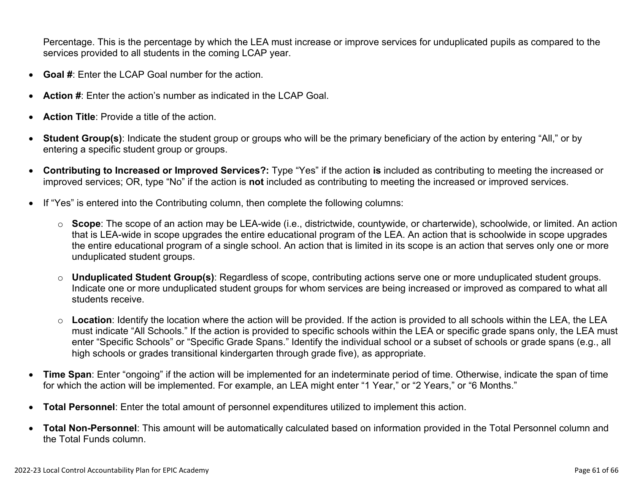Percentage. This is the percentage by which the LEA must increase or improve services for unduplicated pupils as compared to the services provided to all students in the coming LCAP year.

- **Goal #**: Enter the LCAP Goal number for the action.
- **Action #**: Enter the action's number as indicated in the LCAP Goal.
- **Action Title**: Provide a title of the action.
- **Student Group(s)**: Indicate the student group or groups who will be the primary beneficiary of the action by entering "All," or by entering a specific student group or groups.
- **Contributing to Increased or Improved Services?:** Type "Yes" if the action **is** included as contributing to meeting the increased or improved services; OR, type "No" if the action is **not** included as contributing to meeting the increased or improved services.
- If "Yes" is entered into the Contributing column, then complete the following columns:
	- o **Scope**: The scope of an action may be LEA-wide (i.e., districtwide, countywide, or charterwide), schoolwide, or limited. An action that is LEA-wide in scope upgrades the entire educational program of the LEA. An action that is schoolwide in scope upgrades the entire educational program of a single school. An action that is limited in its scope is an action that serves only one or more unduplicated student groups.
	- o **Unduplicated Student Group(s)**: Regardless of scope, contributing actions serve one or more unduplicated student groups. Indicate one or more unduplicated student groups for whom services are being increased or improved as compared to what all students receive.
	- o **Location**: Identify the location where the action will be provided. If the action is provided to all schools within the LEA, the LEA must indicate "All Schools." If the action is provided to specific schools within the LEA or specific grade spans only, the LEA must enter "Specific Schools" or "Specific Grade Spans." Identify the individual school or a subset of schools or grade spans (e.g., all high schools or grades transitional kindergarten through grade five), as appropriate.
- **Time Span**: Enter "ongoing" if the action will be implemented for an indeterminate period of time. Otherwise, indicate the span of time for which the action will be implemented. For example, an LEA might enter "1 Year," or "2 Years," or "6 Months."
- **Total Personnel**: Enter the total amount of personnel expenditures utilized to implement this action.
- **Total Non-Personnel**: This amount will be automatically calculated based on information provided in the Total Personnel column and the Total Funds column.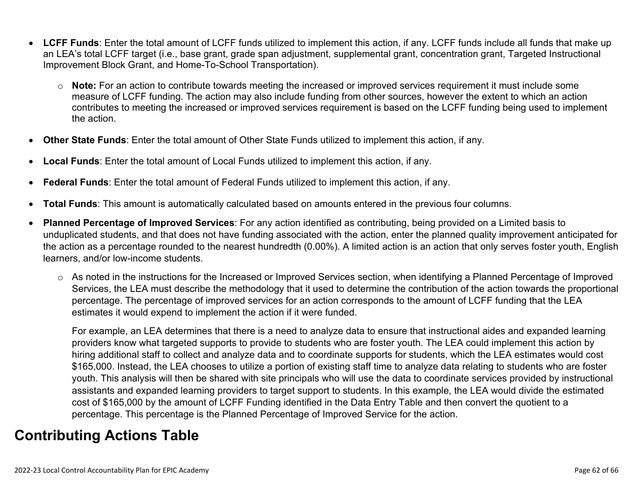- **LCFF Funds**: Enter the total amount of LCFF funds utilized to implement this action, if any. LCFF funds include all funds that make up an LEA's total LCFF target (i.e., base grant, grade span adjustment, supplemental grant, concentration grant, Targeted Instructional Improvement Block Grant, and Home-To-School Transportation).
	- o **Note:** For an action to contribute towards meeting the increased or improved services requirement it must include some measure of LCFF funding. The action may also include funding from other sources, however the extent to which an action contributes to meeting the increased or improved services requirement is based on the LCFF funding being used to implement the action.
- **Other State Funds**: Enter the total amount of Other State Funds utilized to implement this action, if any.
- **Local Funds**: Enter the total amount of Local Funds utilized to implement this action, if any.
- **Federal Funds**: Enter the total amount of Federal Funds utilized to implement this action, if any.
- **Total Funds**: This amount is automatically calculated based on amounts entered in the previous four columns.
- **Planned Percentage of Improved Services**: For any action identified as contributing, being provided on a Limited basis to unduplicated students, and that does not have funding associated with the action, enter the planned quality improvement anticipated for the action as a percentage rounded to the nearest hundredth (0.00%). A limited action is an action that only serves foster youth, English learners, and/or low-income students.
	- o As noted in the instructions for the Increased or Improved Services section, when identifying a Planned Percentage of Improved Services, the LEA must describe the methodology that it used to determine the contribution of the action towards the proportional percentage. The percentage of improved services for an action corresponds to the amount of LCFF funding that the LEA estimates it would expend to implement the action if it were funded.

For example, an LEA determines that there is a need to analyze data to ensure that instructional aides and expanded learning providers know what targeted supports to provide to students who are foster youth. The LEA could implement this action by hiring additional staff to collect and analyze data and to coordinate supports for students, which the LEA estimates would cost \$165,000. Instead, the LEA chooses to utilize a portion of existing staff time to analyze data relating to students who are foster youth. This analysis will then be shared with site principals who will use the data to coordinate services provided by instructional assistants and expanded learning providers to target support to students. In this example, the LEA would divide the estimated cost of \$165,000 by the amount of LCFF Funding identified in the Data Entry Table and then convert the quotient to a percentage. This percentage is the Planned Percentage of Improved Service for the action.

## **Contributing Actions Table**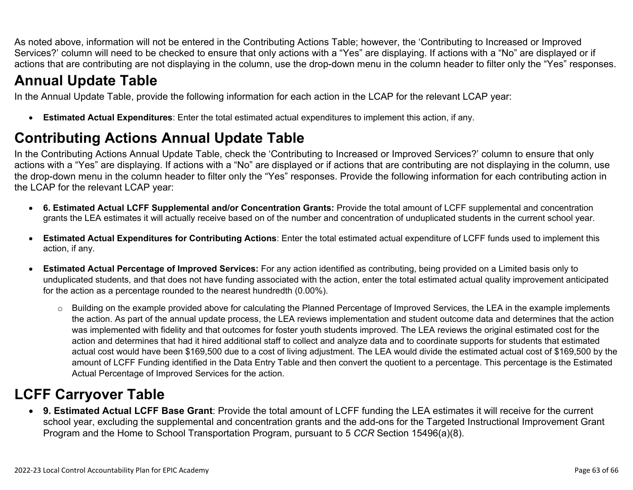As noted above, information will not be entered in the Contributing Actions Table; however, the 'Contributing to Increased or Improved Services?' column will need to be checked to ensure that only actions with a "Yes" are displaying. If actions with a "No" are displayed or if actions that are contributing are not displaying in the column, use the drop-down menu in the column header to filter only the "Yes" responses.

# **Annual Update Table**

In the Annual Update Table, provide the following information for each action in the LCAP for the relevant LCAP year:

• **Estimated Actual Expenditures**: Enter the total estimated actual expenditures to implement this action, if any.

# **Contributing Actions Annual Update Table**

In the Contributing Actions Annual Update Table, check the 'Contributing to Increased or Improved Services?' column to ensure that only actions with a "Yes" are displaying. If actions with a "No" are displayed or if actions that are contributing are not displaying in the column, use the drop-down menu in the column header to filter only the "Yes" responses. Provide the following information for each contributing action in the LCAP for the relevant LCAP year:

- **6. Estimated Actual LCFF Supplemental and/or Concentration Grants:** Provide the total amount of LCFF supplemental and concentration grants the LEA estimates it will actually receive based on of the number and concentration of unduplicated students in the current school year.
- **Estimated Actual Expenditures for Contributing Actions**: Enter the total estimated actual expenditure of LCFF funds used to implement this action, if any.
- **Estimated Actual Percentage of Improved Services:** For any action identified as contributing, being provided on a Limited basis only to unduplicated students, and that does not have funding associated with the action, enter the total estimated actual quality improvement anticipated for the action as a percentage rounded to the nearest hundredth (0.00%).
	- o Building on the example provided above for calculating the Planned Percentage of Improved Services, the LEA in the example implements the action. As part of the annual update process, the LEA reviews implementation and student outcome data and determines that the action was implemented with fidelity and that outcomes for foster youth students improved. The LEA reviews the original estimated cost for the action and determines that had it hired additional staff to collect and analyze data and to coordinate supports for students that estimated actual cost would have been \$169,500 due to a cost of living adjustment. The LEA would divide the estimated actual cost of \$169,500 by the amount of LCFF Funding identified in the Data Entry Table and then convert the quotient to a percentage. This percentage is the Estimated Actual Percentage of Improved Services for the action.

# **LCFF Carryover Table**

• **9. Estimated Actual LCFF Base Grant**: Provide the total amount of LCFF funding the LEA estimates it will receive for the current school year, excluding the supplemental and concentration grants and the add-ons for the Targeted Instructional Improvement Grant Program and the Home to School Transportation Program, pursuant to 5 *CCR* Section 15496(a)(8).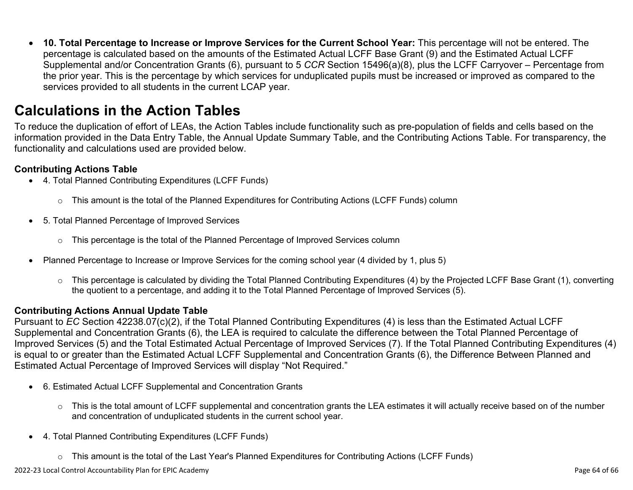• **10. Total Percentage to Increase or Improve Services for the Current School Year:** This percentage will not be entered. The percentage is calculated based on the amounts of the Estimated Actual LCFF Base Grant (9) and the Estimated Actual LCFF Supplemental and/or Concentration Grants (6), pursuant to 5 *CCR* Section 15496(a)(8), plus the LCFF Carryover – Percentage from the prior year. This is the percentage by which services for unduplicated pupils must be increased or improved as compared to the services provided to all students in the current LCAP year.

## **Calculations in the Action Tables**

To reduce the duplication of effort of LEAs, the Action Tables include functionality such as pre-population of fields and cells based on the information provided in the Data Entry Table, the Annual Update Summary Table, and the Contributing Actions Table. For transparency, the functionality and calculations used are provided below.

### **Contributing Actions Table**

- 4. Total Planned Contributing Expenditures (LCFF Funds)
	- $\circ$  This amount is the total of the Planned Expenditures for Contributing Actions (LCFF Funds) column
- 5. Total Planned Percentage of Improved Services
	- $\circ$  This percentage is the total of the Planned Percentage of Improved Services column
- Planned Percentage to Increase or Improve Services for the coming school year (4 divided by 1, plus 5)
	- o This percentage is calculated by dividing the Total Planned Contributing Expenditures (4) by the Projected LCFF Base Grant (1), converting the quotient to a percentage, and adding it to the Total Planned Percentage of Improved Services (5).

### **Contributing Actions Annual Update Table**

Pursuant to *EC* Section 42238.07(c)(2), if the Total Planned Contributing Expenditures (4) is less than the Estimated Actual LCFF Supplemental and Concentration Grants (6), the LEA is required to calculate the difference between the Total Planned Percentage of Improved Services (5) and the Total Estimated Actual Percentage of Improved Services (7). If the Total Planned Contributing Expenditures (4) is equal to or greater than the Estimated Actual LCFF Supplemental and Concentration Grants (6), the Difference Between Planned and Estimated Actual Percentage of Improved Services will display "Not Required."

- 6. Estimated Actual LCFF Supplemental and Concentration Grants
	- o This is the total amount of LCFF supplemental and concentration grants the LEA estimates it will actually receive based on of the number and concentration of unduplicated students in the current school year.
- 4. Total Planned Contributing Expenditures (LCFF Funds)
	- $\circ$  This amount is the total of the Last Year's Planned Expenditures for Contributing Actions (LCFF Funds)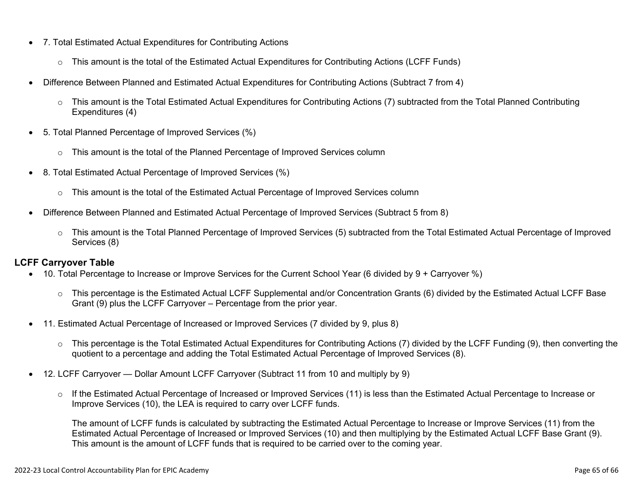- 7. Total Estimated Actual Expenditures for Contributing Actions
	- o This amount is the total of the Estimated Actual Expenditures for Contributing Actions (LCFF Funds)
- Difference Between Planned and Estimated Actual Expenditures for Contributing Actions (Subtract 7 from 4)
	- $\circ$  This amount is the Total Estimated Actual Expenditures for Contributing Actions (7) subtracted from the Total Planned Contributing Expenditures (4)
- 5. Total Planned Percentage of Improved Services (%)
	- o This amount is the total of the Planned Percentage of Improved Services column
- 8. Total Estimated Actual Percentage of Improved Services (%)
	- o This amount is the total of the Estimated Actual Percentage of Improved Services column
- Difference Between Planned and Estimated Actual Percentage of Improved Services (Subtract 5 from 8)
	- o This amount is the Total Planned Percentage of Improved Services (5) subtracted from the Total Estimated Actual Percentage of Improved Services (8)

### **LCFF Carryover Table**

- 10. Total Percentage to Increase or Improve Services for the Current School Year (6 divided by 9 + Carryover %)
	- $\circ$  This percentage is the Estimated Actual LCFF Supplemental and/or Concentration Grants (6) divided by the Estimated Actual LCFF Base Grant (9) plus the LCFF Carryover – Percentage from the prior year.
- 11. Estimated Actual Percentage of Increased or Improved Services (7 divided by 9, plus 8)
	- o This percentage is the Total Estimated Actual Expenditures for Contributing Actions (7) divided by the LCFF Funding (9), then converting the quotient to a percentage and adding the Total Estimated Actual Percentage of Improved Services (8).
- 12. LCFF Carryover Dollar Amount LCFF Carryover (Subtract 11 from 10 and multiply by 9)
	- $\circ$  If the Estimated Actual Percentage of Increased or Improved Services (11) is less than the Estimated Actual Percentage to Increase or Improve Services (10), the LEA is required to carry over LCFF funds.

The amount of LCFF funds is calculated by subtracting the Estimated Actual Percentage to Increase or Improve Services (11) from the Estimated Actual Percentage of Increased or Improved Services (10) and then multiplying by the Estimated Actual LCFF Base Grant (9). This amount is the amount of LCFF funds that is required to be carried over to the coming year.